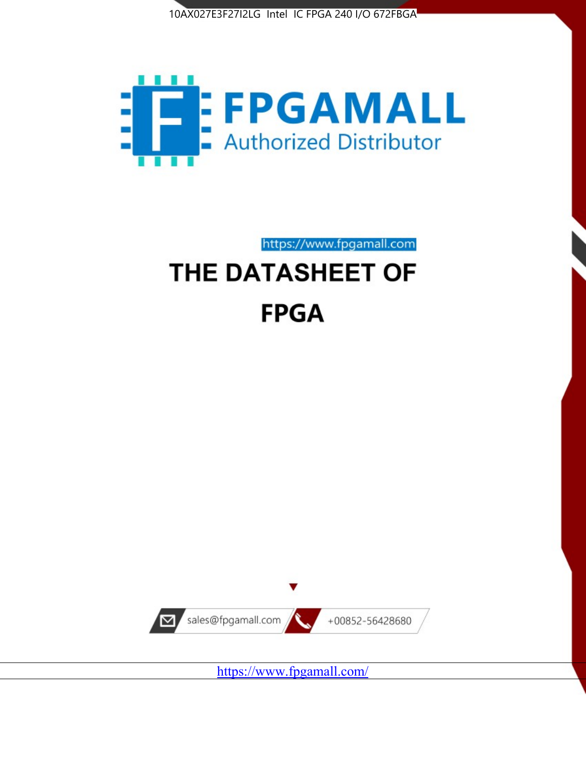



https://www.fpgamall.com

# THE DATASHEET OF **FPGA**



<https://www.fpgamall.com/>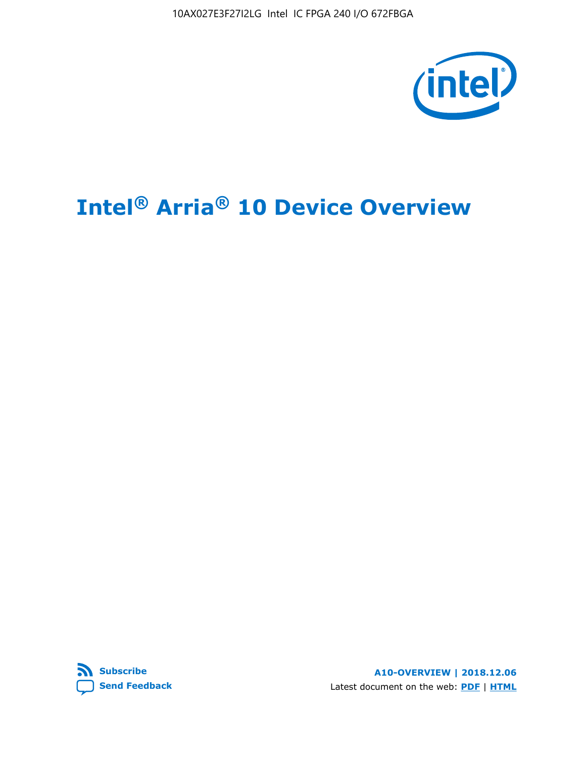10AX027E3F27I2LG Intel IC FPGA 240 I/O 672FBGA



# **Intel® Arria® 10 Device Overview**



**A10-OVERVIEW | 2018.12.06** Latest document on the web: **[PDF](https://www.intel.com/content/dam/www/programmable/us/en/pdfs/literature/hb/arria-10/a10_overview.pdf)** | **[HTML](https://www.intel.com/content/www/us/en/programmable/documentation/sam1403480274650.html)**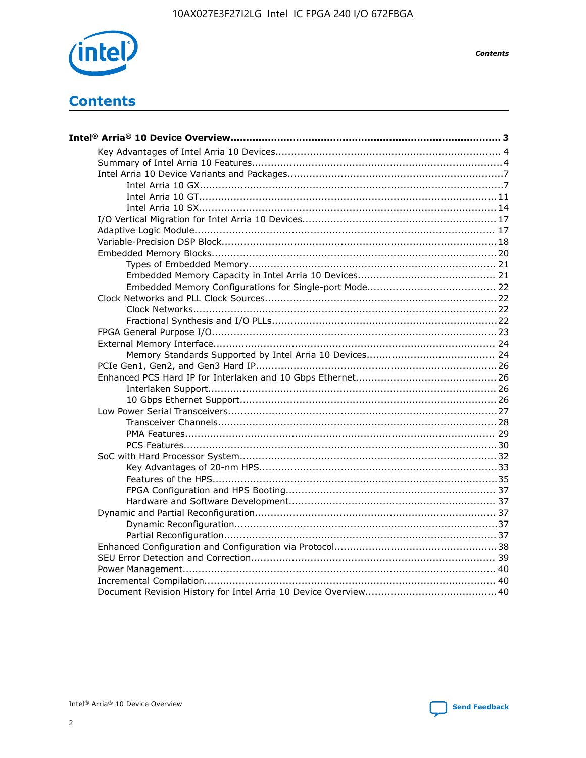

**Contents** 

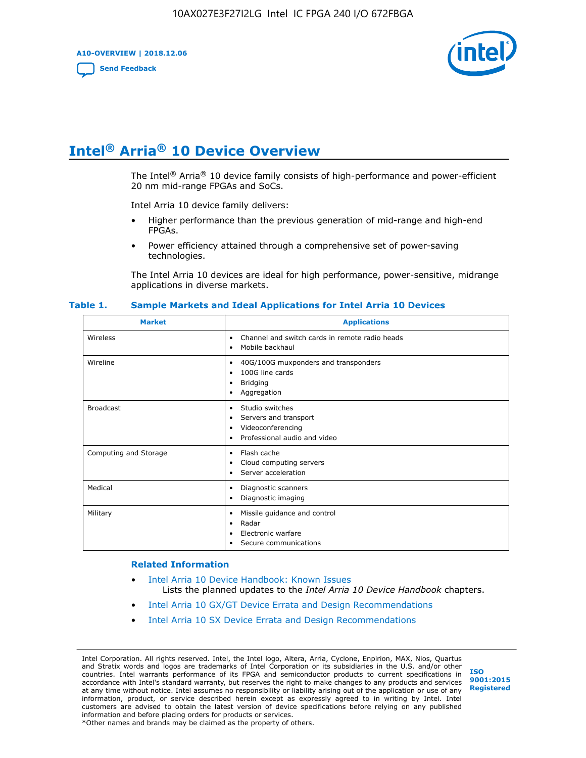**A10-OVERVIEW | 2018.12.06**

**[Send Feedback](mailto:FPGAtechdocfeedback@intel.com?subject=Feedback%20on%20Intel%20Arria%2010%20Device%20Overview%20(A10-OVERVIEW%202018.12.06)&body=We%20appreciate%20your%20feedback.%20In%20your%20comments,%20also%20specify%20the%20page%20number%20or%20paragraph.%20Thank%20you.)**



## **Intel® Arria® 10 Device Overview**

The Intel<sup>®</sup> Arria<sup>®</sup> 10 device family consists of high-performance and power-efficient 20 nm mid-range FPGAs and SoCs.

Intel Arria 10 device family delivers:

- Higher performance than the previous generation of mid-range and high-end FPGAs.
- Power efficiency attained through a comprehensive set of power-saving technologies.

The Intel Arria 10 devices are ideal for high performance, power-sensitive, midrange applications in diverse markets.

| <b>Market</b>         | <b>Applications</b>                                                                                               |
|-----------------------|-------------------------------------------------------------------------------------------------------------------|
| Wireless              | Channel and switch cards in remote radio heads<br>٠<br>Mobile backhaul<br>٠                                       |
| Wireline              | 40G/100G muxponders and transponders<br>٠<br>100G line cards<br>٠<br><b>Bridging</b><br>٠<br>Aggregation<br>٠     |
| <b>Broadcast</b>      | Studio switches<br>٠<br>Servers and transport<br>٠<br>Videoconferencing<br>٠<br>Professional audio and video<br>٠ |
| Computing and Storage | Flash cache<br>٠<br>Cloud computing servers<br>٠<br>Server acceleration<br>٠                                      |
| Medical               | Diagnostic scanners<br>٠<br>Diagnostic imaging<br>٠                                                               |
| Military              | Missile guidance and control<br>٠<br>Radar<br>٠<br>Electronic warfare<br>٠<br>Secure communications<br>٠          |

#### **Table 1. Sample Markets and Ideal Applications for Intel Arria 10 Devices**

#### **Related Information**

- [Intel Arria 10 Device Handbook: Known Issues](http://www.altera.com/support/kdb/solutions/rd07302013_646.html) Lists the planned updates to the *Intel Arria 10 Device Handbook* chapters.
- [Intel Arria 10 GX/GT Device Errata and Design Recommendations](https://www.intel.com/content/www/us/en/programmable/documentation/agz1493851706374.html#yqz1494433888646)
- [Intel Arria 10 SX Device Errata and Design Recommendations](https://www.intel.com/content/www/us/en/programmable/documentation/cru1462832385668.html#cru1462832558642)

Intel Corporation. All rights reserved. Intel, the Intel logo, Altera, Arria, Cyclone, Enpirion, MAX, Nios, Quartus and Stratix words and logos are trademarks of Intel Corporation or its subsidiaries in the U.S. and/or other countries. Intel warrants performance of its FPGA and semiconductor products to current specifications in accordance with Intel's standard warranty, but reserves the right to make changes to any products and services at any time without notice. Intel assumes no responsibility or liability arising out of the application or use of any information, product, or service described herein except as expressly agreed to in writing by Intel. Intel customers are advised to obtain the latest version of device specifications before relying on any published information and before placing orders for products or services. \*Other names and brands may be claimed as the property of others.

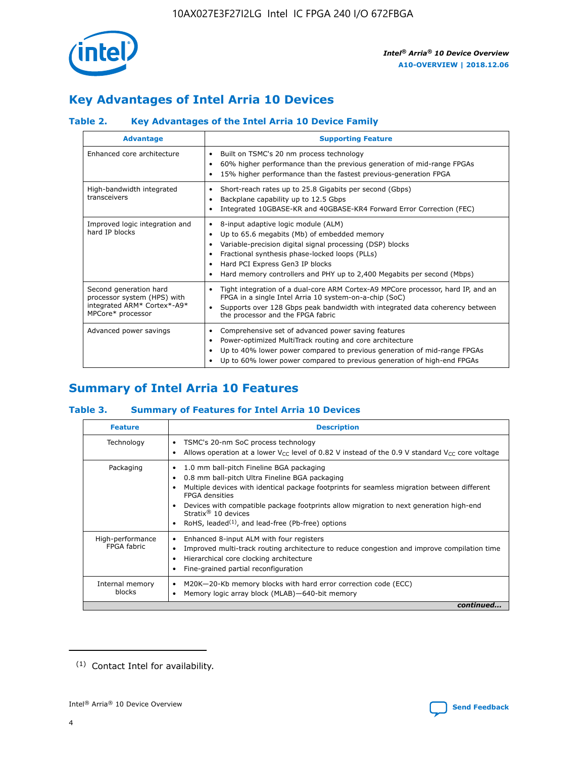

## **Key Advantages of Intel Arria 10 Devices**

#### **Table 2. Key Advantages of the Intel Arria 10 Device Family**

| <b>Advantage</b>                                                                                          | <b>Supporting Feature</b>                                                                                                                                                                                                                                                                                                     |
|-----------------------------------------------------------------------------------------------------------|-------------------------------------------------------------------------------------------------------------------------------------------------------------------------------------------------------------------------------------------------------------------------------------------------------------------------------|
| Enhanced core architecture                                                                                | Built on TSMC's 20 nm process technology<br>٠<br>60% higher performance than the previous generation of mid-range FPGAs<br>٠<br>15% higher performance than the fastest previous-generation FPGA<br>٠                                                                                                                         |
| High-bandwidth integrated<br>transceivers                                                                 | Short-reach rates up to 25.8 Gigabits per second (Gbps)<br>٠<br>Backplane capability up to 12.5 Gbps<br>٠<br>Integrated 10GBASE-KR and 40GBASE-KR4 Forward Error Correction (FEC)<br>٠                                                                                                                                        |
| Improved logic integration and<br>hard IP blocks                                                          | 8-input adaptive logic module (ALM)<br>٠<br>Up to 65.6 megabits (Mb) of embedded memory<br>٠<br>Variable-precision digital signal processing (DSP) blocks<br>Fractional synthesis phase-locked loops (PLLs)<br>٠<br>Hard PCI Express Gen3 IP blocks<br>Hard memory controllers and PHY up to 2,400 Megabits per second (Mbps) |
| Second generation hard<br>processor system (HPS) with<br>integrated ARM* Cortex*-A9*<br>MPCore* processor | Tight integration of a dual-core ARM Cortex-A9 MPCore processor, hard IP, and an<br>٠<br>FPGA in a single Intel Arria 10 system-on-a-chip (SoC)<br>Supports over 128 Gbps peak bandwidth with integrated data coherency between<br>$\bullet$<br>the processor and the FPGA fabric                                             |
| Advanced power savings                                                                                    | Comprehensive set of advanced power saving features<br>٠<br>Power-optimized MultiTrack routing and core architecture<br>٠<br>Up to 40% lower power compared to previous generation of mid-range FPGAs<br>Up to 60% lower power compared to previous generation of high-end FPGAs<br>٠                                         |

## **Summary of Intel Arria 10 Features**

#### **Table 3. Summary of Features for Intel Arria 10 Devices**

| <b>Feature</b>                  | <b>Description</b>                                                                                                                                                                                                                                                                                                                                                                                           |
|---------------------------------|--------------------------------------------------------------------------------------------------------------------------------------------------------------------------------------------------------------------------------------------------------------------------------------------------------------------------------------------------------------------------------------------------------------|
| Technology                      | TSMC's 20-nm SoC process technology<br>Allows operation at a lower $V_{\text{CC}}$ level of 0.82 V instead of the 0.9 V standard $V_{\text{CC}}$ core voltage                                                                                                                                                                                                                                                |
| Packaging                       | 1.0 mm ball-pitch Fineline BGA packaging<br>٠<br>0.8 mm ball-pitch Ultra Fineline BGA packaging<br>Multiple devices with identical package footprints for seamless migration between different<br><b>FPGA</b> densities<br>Devices with compatible package footprints allow migration to next generation high-end<br>Stratix <sup>®</sup> 10 devices<br>RoHS, leaded $(1)$ , and lead-free (Pb-free) options |
| High-performance<br>FPGA fabric | Enhanced 8-input ALM with four registers<br>Improved multi-track routing architecture to reduce congestion and improve compilation time<br>Hierarchical core clocking architecture<br>Fine-grained partial reconfiguration                                                                                                                                                                                   |
| Internal memory<br>blocks       | M20K-20-Kb memory blocks with hard error correction code (ECC)<br>Memory logic array block (MLAB)-640-bit memory                                                                                                                                                                                                                                                                                             |
|                                 | continued                                                                                                                                                                                                                                                                                                                                                                                                    |



<sup>(1)</sup> Contact Intel for availability.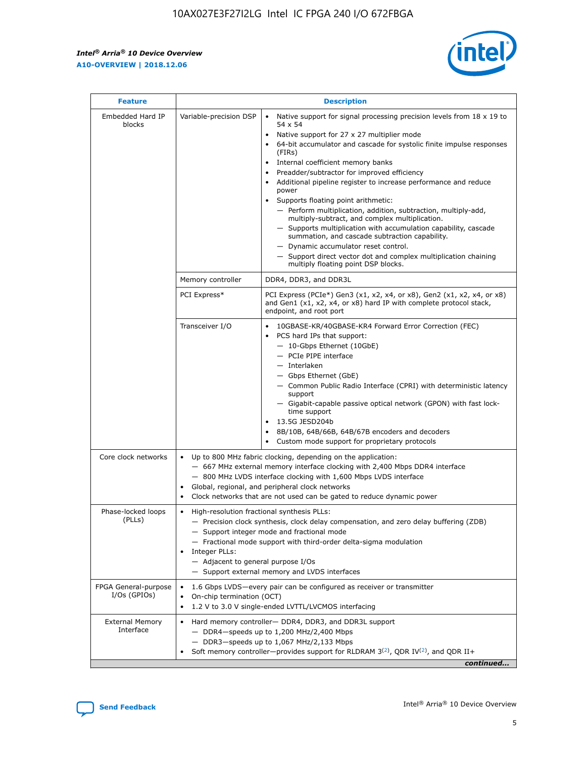$\mathsf{r}$ 



| <b>Feature</b>                         |                                                                                                                | <b>Description</b>                                                                                                                                                                                                                                                                                                                                                                                                                                                                                                                                                                                                                                                                                                                                                                                                                          |
|----------------------------------------|----------------------------------------------------------------------------------------------------------------|---------------------------------------------------------------------------------------------------------------------------------------------------------------------------------------------------------------------------------------------------------------------------------------------------------------------------------------------------------------------------------------------------------------------------------------------------------------------------------------------------------------------------------------------------------------------------------------------------------------------------------------------------------------------------------------------------------------------------------------------------------------------------------------------------------------------------------------------|
| Embedded Hard IP<br>blocks             | Variable-precision DSP                                                                                         | Native support for signal processing precision levels from $18 \times 19$ to<br>$\bullet$<br>54 x 54<br>Native support for 27 x 27 multiplier mode<br>64-bit accumulator and cascade for systolic finite impulse responses<br>(FIRS)<br>Internal coefficient memory banks<br>٠<br>Preadder/subtractor for improved efficiency<br>Additional pipeline register to increase performance and reduce<br>power<br>Supports floating point arithmetic:<br>- Perform multiplication, addition, subtraction, multiply-add,<br>multiply-subtract, and complex multiplication.<br>- Supports multiplication with accumulation capability, cascade<br>summation, and cascade subtraction capability.<br>- Dynamic accumulator reset control.<br>- Support direct vector dot and complex multiplication chaining<br>multiply floating point DSP blocks. |
|                                        | Memory controller                                                                                              | DDR4, DDR3, and DDR3L                                                                                                                                                                                                                                                                                                                                                                                                                                                                                                                                                                                                                                                                                                                                                                                                                       |
|                                        | PCI Express*                                                                                                   | PCI Express (PCIe*) Gen3 (x1, x2, x4, or x8), Gen2 (x1, x2, x4, or x8)<br>and Gen1 (x1, x2, x4, or x8) hard IP with complete protocol stack,<br>endpoint, and root port                                                                                                                                                                                                                                                                                                                                                                                                                                                                                                                                                                                                                                                                     |
|                                        | Transceiver I/O                                                                                                | 10GBASE-KR/40GBASE-KR4 Forward Error Correction (FEC)<br>PCS hard IPs that support:<br>- 10-Gbps Ethernet (10GbE)<br>- PCIe PIPE interface<br>- Interlaken<br>- Gbps Ethernet (GbE)<br>- Common Public Radio Interface (CPRI) with deterministic latency<br>support<br>- Gigabit-capable passive optical network (GPON) with fast lock-<br>time support<br>13.5G JESD204b<br>8B/10B, 64B/66B, 64B/67B encoders and decoders<br>Custom mode support for proprietary protocols                                                                                                                                                                                                                                                                                                                                                                |
| Core clock networks                    | $\bullet$                                                                                                      | Up to 800 MHz fabric clocking, depending on the application:<br>- 667 MHz external memory interface clocking with 2,400 Mbps DDR4 interface<br>- 800 MHz LVDS interface clocking with 1,600 Mbps LVDS interface<br>Global, regional, and peripheral clock networks<br>Clock networks that are not used can be gated to reduce dynamic power                                                                                                                                                                                                                                                                                                                                                                                                                                                                                                 |
| Phase-locked loops<br>(PLLs)           | High-resolution fractional synthesis PLLs:<br>$\bullet$<br>Integer PLLs:<br>- Adjacent to general purpose I/Os | - Precision clock synthesis, clock delay compensation, and zero delay buffering (ZDB)<br>- Support integer mode and fractional mode<br>- Fractional mode support with third-order delta-sigma modulation<br>- Support external memory and LVDS interfaces                                                                                                                                                                                                                                                                                                                                                                                                                                                                                                                                                                                   |
| FPGA General-purpose<br>$I/Os$ (GPIOs) | On-chip termination (OCT)<br>$\bullet$                                                                         | 1.6 Gbps LVDS-every pair can be configured as receiver or transmitter<br>1.2 V to 3.0 V single-ended LVTTL/LVCMOS interfacing                                                                                                                                                                                                                                                                                                                                                                                                                                                                                                                                                                                                                                                                                                               |
| <b>External Memory</b><br>Interface    |                                                                                                                | Hard memory controller- DDR4, DDR3, and DDR3L support<br>$-$ DDR4 $-$ speeds up to 1,200 MHz/2,400 Mbps<br>- DDR3-speeds up to 1,067 MHz/2,133 Mbps<br>Soft memory controller—provides support for RLDRAM $3^{(2)}$ , QDR IV $(2)$ , and QDR II+<br>continued                                                                                                                                                                                                                                                                                                                                                                                                                                                                                                                                                                               |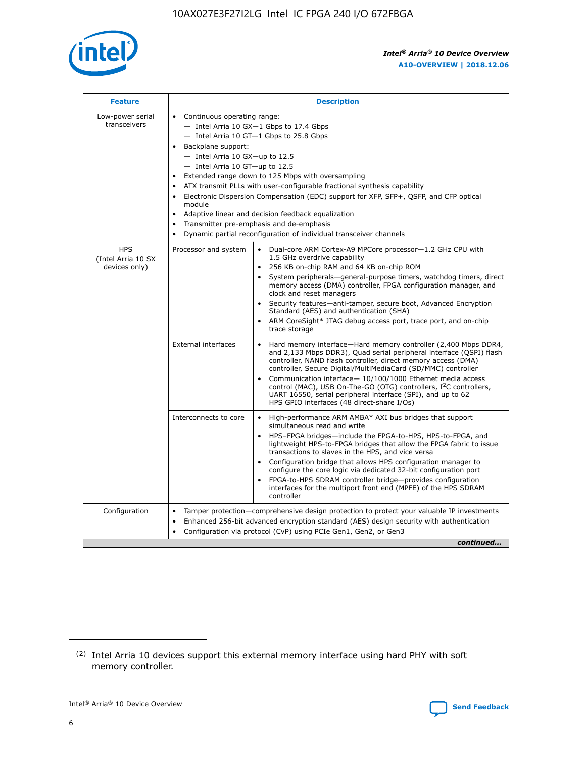

| <b>Feature</b>                                    | <b>Description</b>                                                                                                                                                                                                                                                                                                                                                                                                                                                                                                                                                                                                                                                 |
|---------------------------------------------------|--------------------------------------------------------------------------------------------------------------------------------------------------------------------------------------------------------------------------------------------------------------------------------------------------------------------------------------------------------------------------------------------------------------------------------------------------------------------------------------------------------------------------------------------------------------------------------------------------------------------------------------------------------------------|
| Low-power serial<br>transceivers                  | • Continuous operating range:<br>- Intel Arria 10 GX-1 Gbps to 17.4 Gbps<br>- Intel Arria 10 GT-1 Gbps to 25.8 Gbps<br>Backplane support:<br>$-$ Intel Arria 10 GX-up to 12.5<br>- Intel Arria 10 GT-up to 12.5<br>Extended range down to 125 Mbps with oversampling<br>ATX transmit PLLs with user-configurable fractional synthesis capability<br>$\bullet$<br>Electronic Dispersion Compensation (EDC) support for XFP, SFP+, OSFP, and CFP optical<br>module<br>Adaptive linear and decision feedback equalization<br>$\bullet$<br>Transmitter pre-emphasis and de-emphasis<br>$\bullet$<br>Dynamic partial reconfiguration of individual transceiver channels |
| <b>HPS</b><br>(Intel Arria 10 SX<br>devices only) | • Dual-core ARM Cortex-A9 MPCore processor-1.2 GHz CPU with<br>Processor and system<br>1.5 GHz overdrive capability<br>256 KB on-chip RAM and 64 KB on-chip ROM<br>$\bullet$<br>System peripherals—general-purpose timers, watchdog timers, direct<br>memory access (DMA) controller, FPGA configuration manager, and<br>clock and reset managers<br>Security features—anti-tamper, secure boot, Advanced Encryption<br>$\bullet$<br>Standard (AES) and authentication (SHA)<br>ARM CoreSight* JTAG debug access port, trace port, and on-chip<br>$\bullet$<br>trace storage                                                                                       |
|                                                   | <b>External interfaces</b><br>Hard memory interface-Hard memory controller (2,400 Mbps DDR4,<br>$\bullet$<br>and 2,133 Mbps DDR3), Quad serial peripheral interface (QSPI) flash<br>controller, NAND flash controller, direct memory access (DMA)<br>controller, Secure Digital/MultiMediaCard (SD/MMC) controller<br>Communication interface-10/100/1000 Ethernet media access<br>$\bullet$<br>control (MAC), USB On-The-GO (OTG) controllers, I <sup>2</sup> C controllers,<br>UART 16550, serial peripheral interface (SPI), and up to 62<br>HPS GPIO interfaces (48 direct-share I/Os)                                                                         |
|                                                   | Interconnects to core<br>High-performance ARM AMBA* AXI bus bridges that support<br>$\bullet$<br>simultaneous read and write<br>HPS-FPGA bridges-include the FPGA-to-HPS, HPS-to-FPGA, and<br>$\bullet$<br>lightweight HPS-to-FPGA bridges that allow the FPGA fabric to issue<br>transactions to slaves in the HPS, and vice versa<br>Configuration bridge that allows HPS configuration manager to<br>configure the core logic via dedicated 32-bit configuration port<br>FPGA-to-HPS SDRAM controller bridge-provides configuration<br>interfaces for the multiport front end (MPFE) of the HPS SDRAM<br>controller                                             |
| Configuration                                     | Tamper protection—comprehensive design protection to protect your valuable IP investments<br>Enhanced 256-bit advanced encryption standard (AES) design security with authentication<br>٠<br>Configuration via protocol (CvP) using PCIe Gen1, Gen2, or Gen3<br>continued                                                                                                                                                                                                                                                                                                                                                                                          |

<sup>(2)</sup> Intel Arria 10 devices support this external memory interface using hard PHY with soft memory controller.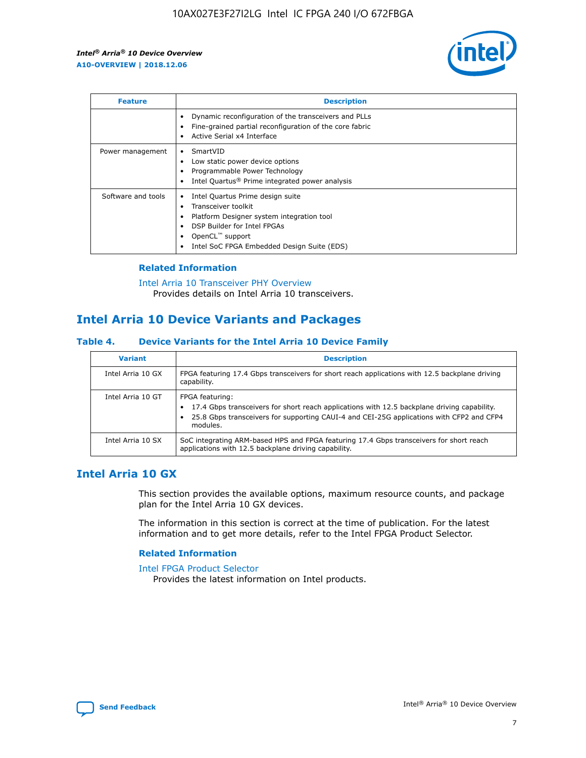

| <b>Feature</b>     | <b>Description</b>                                                                                                                                                                                               |
|--------------------|------------------------------------------------------------------------------------------------------------------------------------------------------------------------------------------------------------------|
|                    | Dynamic reconfiguration of the transceivers and PLLs<br>Fine-grained partial reconfiguration of the core fabric<br>Active Serial x4 Interface<br>$\bullet$                                                       |
| Power management   | SmartVID<br>Low static power device options<br>Programmable Power Technology<br>Intel Quartus <sup>®</sup> Prime integrated power analysis                                                                       |
| Software and tools | Intel Quartus Prime design suite<br>Transceiver toolkit<br>Platform Designer system integration tool<br>DSP Builder for Intel FPGAs<br>OpenCL <sup>™</sup> support<br>Intel SoC FPGA Embedded Design Suite (EDS) |

#### **Related Information**

[Intel Arria 10 Transceiver PHY Overview](https://www.intel.com/content/www/us/en/programmable/documentation/nik1398707230472.html#nik1398706768037) Provides details on Intel Arria 10 transceivers.

## **Intel Arria 10 Device Variants and Packages**

#### **Table 4. Device Variants for the Intel Arria 10 Device Family**

| <b>Variant</b>    | <b>Description</b>                                                                                                                                                                                                     |
|-------------------|------------------------------------------------------------------------------------------------------------------------------------------------------------------------------------------------------------------------|
| Intel Arria 10 GX | FPGA featuring 17.4 Gbps transceivers for short reach applications with 12.5 backplane driving<br>capability.                                                                                                          |
| Intel Arria 10 GT | FPGA featuring:<br>17.4 Gbps transceivers for short reach applications with 12.5 backplane driving capability.<br>25.8 Gbps transceivers for supporting CAUI-4 and CEI-25G applications with CFP2 and CFP4<br>modules. |
| Intel Arria 10 SX | SoC integrating ARM-based HPS and FPGA featuring 17.4 Gbps transceivers for short reach<br>applications with 12.5 backplane driving capability.                                                                        |

## **Intel Arria 10 GX**

This section provides the available options, maximum resource counts, and package plan for the Intel Arria 10 GX devices.

The information in this section is correct at the time of publication. For the latest information and to get more details, refer to the Intel FPGA Product Selector.

#### **Related Information**

#### [Intel FPGA Product Selector](http://www.altera.com/products/selector/psg-selector.html) Provides the latest information on Intel products.

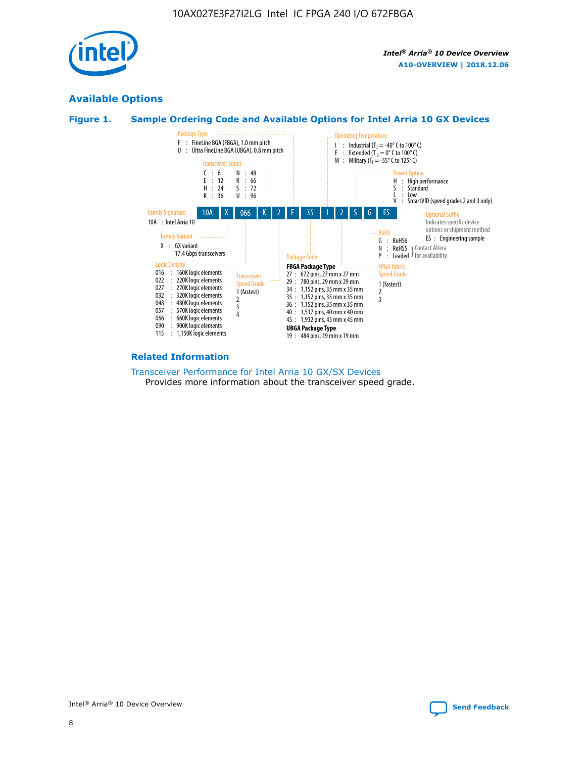

## **Available Options**





#### **Related Information**

#### [Transceiver Performance for Intel Arria 10 GX/SX Devices](https://www.intel.com/content/www/us/en/programmable/documentation/mcn1413182292568.html#mcn1413213965502) Provides more information about the transceiver speed grade.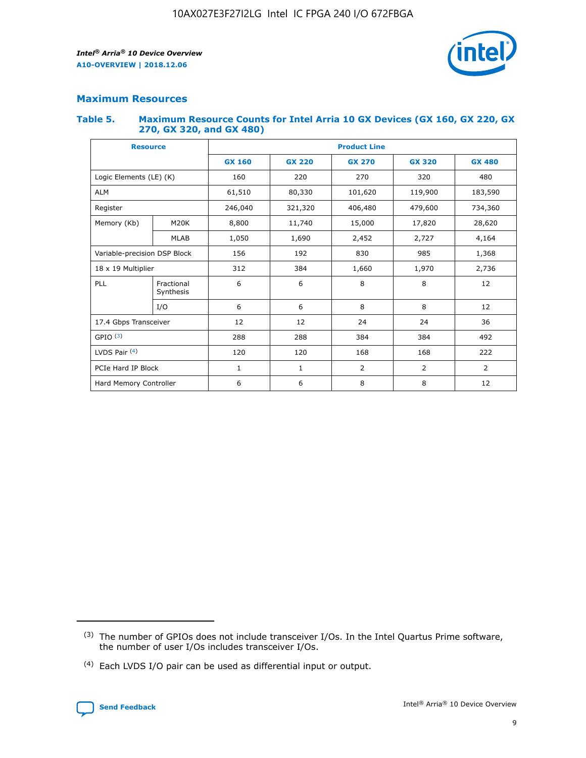

## **Maximum Resources**

#### **Table 5. Maximum Resource Counts for Intel Arria 10 GX Devices (GX 160, GX 220, GX 270, GX 320, and GX 480)**

| <b>Resource</b>              |                         | <b>Product Line</b> |                                                 |                    |                |                |  |  |  |
|------------------------------|-------------------------|---------------------|-------------------------------------------------|--------------------|----------------|----------------|--|--|--|
|                              |                         | <b>GX 160</b>       | <b>GX 220</b><br><b>GX 270</b><br><b>GX 320</b> |                    |                | <b>GX 480</b>  |  |  |  |
| Logic Elements (LE) (K)      |                         | 160                 | 220                                             | 270                | 320            | 480            |  |  |  |
| <b>ALM</b>                   |                         | 61,510              | 80,330                                          | 101,620            | 119,900        | 183,590        |  |  |  |
| Register                     |                         | 246,040             | 321,320                                         | 406,480<br>479,600 |                | 734,360        |  |  |  |
| Memory (Kb)                  | M <sub>20</sub> K       | 8,800               | 11,740                                          | 15,000             | 17,820         | 28,620         |  |  |  |
|                              | <b>MLAB</b>             | 1,050               | 1,690                                           | 2,452              | 2,727          | 4,164          |  |  |  |
| Variable-precision DSP Block |                         | 156                 | 192                                             | 830                | 985<br>1,368   |                |  |  |  |
|                              | 18 x 19 Multiplier      |                     | 384                                             | 1,660              | 1,970          | 2,736          |  |  |  |
| PLL                          | Fractional<br>Synthesis | 6                   | 6                                               | 8                  | 8              | 12             |  |  |  |
|                              | I/O                     | 6                   | 6                                               | 8                  | 8              | 12             |  |  |  |
| 17.4 Gbps Transceiver        |                         | 12                  | 12                                              | 24<br>24           |                | 36             |  |  |  |
| GPIO <sup>(3)</sup>          |                         | 288                 | 288                                             | 384<br>384         |                | 492            |  |  |  |
| LVDS Pair $(4)$              |                         | 120                 | 120                                             | 168                | 168            | 222            |  |  |  |
| PCIe Hard IP Block           |                         | 1                   | 1                                               | 2                  | $\overline{2}$ | $\overline{2}$ |  |  |  |
| Hard Memory Controller       |                         | 6                   | 6                                               | 8                  | 8              | 12             |  |  |  |

<sup>(4)</sup> Each LVDS I/O pair can be used as differential input or output.



<sup>(3)</sup> The number of GPIOs does not include transceiver I/Os. In the Intel Quartus Prime software, the number of user I/Os includes transceiver I/Os.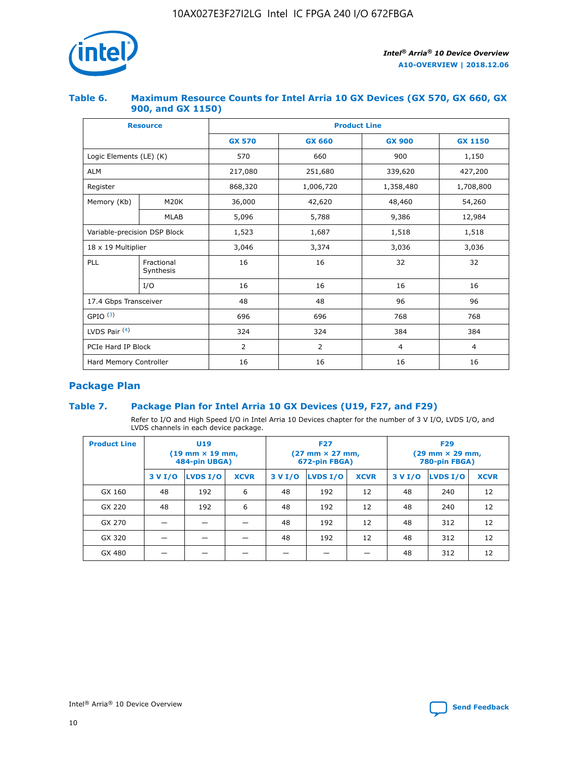

#### **Table 6. Maximum Resource Counts for Intel Arria 10 GX Devices (GX 570, GX 660, GX 900, and GX 1150)**

| <b>Resource</b>              |                         | <b>Product Line</b> |                |                |                |  |  |  |  |
|------------------------------|-------------------------|---------------------|----------------|----------------|----------------|--|--|--|--|
|                              |                         | <b>GX 570</b>       | <b>GX 660</b>  | <b>GX 900</b>  | <b>GX 1150</b> |  |  |  |  |
| Logic Elements (LE) (K)      |                         | 570                 | 660            | 900            | 1,150          |  |  |  |  |
| <b>ALM</b>                   |                         | 217,080             | 251,680        | 339,620        | 427,200        |  |  |  |  |
| Register                     |                         | 868,320             | 1,006,720      | 1,358,480      | 1,708,800      |  |  |  |  |
| Memory (Kb)<br><b>M20K</b>   |                         | 36,000              | 42,620         | 48,460         | 54,260         |  |  |  |  |
|                              | <b>MLAB</b>             | 5,096               | 5,788          | 9,386          | 12,984         |  |  |  |  |
| Variable-precision DSP Block |                         | 1,523               | 1,687          | 1,518          | 1,518          |  |  |  |  |
| $18 \times 19$ Multiplier    |                         | 3,046               | 3,374          | 3,036          | 3,036          |  |  |  |  |
| PLL                          | Fractional<br>Synthesis | 16                  | 16             | 32             | 32             |  |  |  |  |
|                              | I/O                     | 16                  | 16             | 16             | 16             |  |  |  |  |
| 17.4 Gbps Transceiver        |                         | 48                  | 48             | 96             | 96             |  |  |  |  |
| GPIO <sup>(3)</sup>          |                         | 696                 | 696            | 768            | 768            |  |  |  |  |
| LVDS Pair $(4)$              |                         | 324                 | 324            | 384            | 384            |  |  |  |  |
| PCIe Hard IP Block           |                         | $\overline{2}$      | $\overline{2}$ | $\overline{4}$ | $\overline{4}$ |  |  |  |  |
| Hard Memory Controller       |                         | 16                  | 16             | 16             | 16             |  |  |  |  |

## **Package Plan**

#### **Table 7. Package Plan for Intel Arria 10 GX Devices (U19, F27, and F29)**

Refer to I/O and High Speed I/O in Intel Arria 10 Devices chapter for the number of 3 V I/O, LVDS I/O, and LVDS channels in each device package.

| <b>Product Line</b> | U <sub>19</sub><br>$(19 \text{ mm} \times 19 \text{ mm})$<br>484-pin UBGA) |          |             |         | <b>F27</b><br>(27 mm × 27 mm,<br>672-pin FBGA) |             | <b>F29</b><br>(29 mm × 29 mm,<br>780-pin FBGA) |          |             |  |
|---------------------|----------------------------------------------------------------------------|----------|-------------|---------|------------------------------------------------|-------------|------------------------------------------------|----------|-------------|--|
|                     | 3 V I/O                                                                    | LVDS I/O | <b>XCVR</b> | 3 V I/O | LVDS I/O                                       | <b>XCVR</b> | 3 V I/O                                        | LVDS I/O | <b>XCVR</b> |  |
| GX 160              | 48                                                                         | 192      | 6           | 48      | 192                                            | 12          | 48                                             | 240      | 12          |  |
| GX 220              | 48                                                                         | 192      | 6           | 48      | 192                                            | 12          | 48                                             | 240      | 12          |  |
| GX 270              |                                                                            |          |             | 48      | 192                                            | 12          | 48                                             | 312      | 12          |  |
| GX 320              |                                                                            |          |             | 48      | 192                                            | 12          | 48                                             | 312      | 12          |  |
| GX 480              |                                                                            |          |             |         |                                                |             | 48                                             | 312      | 12          |  |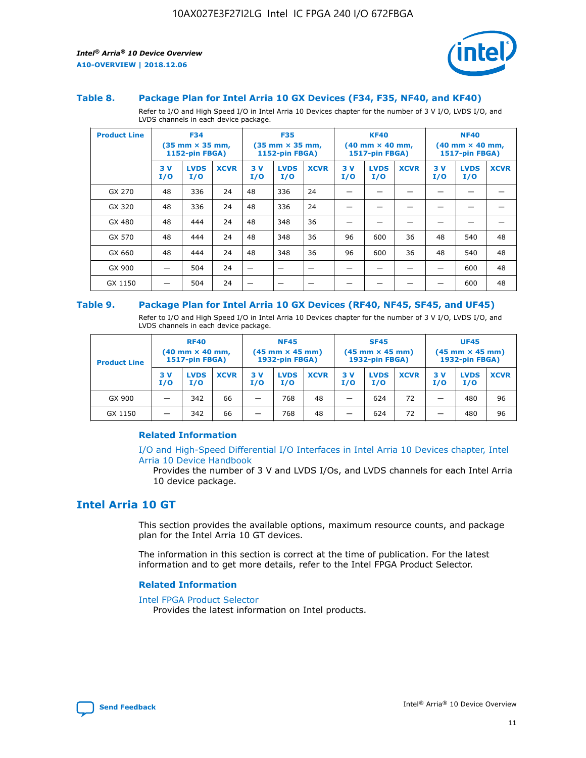

#### **Table 8. Package Plan for Intel Arria 10 GX Devices (F34, F35, NF40, and KF40)**

Refer to I/O and High Speed I/O in Intel Arria 10 Devices chapter for the number of 3 V I/O, LVDS I/O, and LVDS channels in each device package.

| <b>Product Line</b> | <b>F34</b><br>$(35 \text{ mm} \times 35 \text{ mm})$<br>1152-pin FBGA) |                    | <b>F35</b><br>$(35$ mm $\times$ 35 mm,<br><b>1152-pin FBGA)</b> |           | <b>KF40</b><br>$(40$ mm $\times$ 40 mm,<br>1517-pin FBGA) |             |           | <b>NF40</b><br>$(40$ mm $\times$ 40 mm,<br><b>1517-pin FBGA)</b> |             |            |                    |             |
|---------------------|------------------------------------------------------------------------|--------------------|-----------------------------------------------------------------|-----------|-----------------------------------------------------------|-------------|-----------|------------------------------------------------------------------|-------------|------------|--------------------|-------------|
|                     | 3V<br>I/O                                                              | <b>LVDS</b><br>I/O | <b>XCVR</b>                                                     | 3V<br>I/O | <b>LVDS</b><br>I/O                                        | <b>XCVR</b> | 3V<br>I/O | <b>LVDS</b><br>I/O                                               | <b>XCVR</b> | 3 V<br>I/O | <b>LVDS</b><br>I/O | <b>XCVR</b> |
| GX 270              | 48                                                                     | 336                | 24                                                              | 48        | 336                                                       | 24          |           |                                                                  |             |            |                    |             |
| GX 320              | 48                                                                     | 336                | 24                                                              | 48        | 336                                                       | 24          |           |                                                                  |             |            |                    |             |
| GX 480              | 48                                                                     | 444                | 24                                                              | 48        | 348                                                       | 36          |           |                                                                  |             |            |                    |             |
| GX 570              | 48                                                                     | 444                | 24                                                              | 48        | 348                                                       | 36          | 96        | 600                                                              | 36          | 48         | 540                | 48          |
| GX 660              | 48                                                                     | 444                | 24                                                              | 48        | 348                                                       | 36          | 96        | 600                                                              | 36          | 48         | 540                | 48          |
| GX 900              |                                                                        | 504                | 24                                                              | –         |                                                           | -           |           |                                                                  |             |            | 600                | 48          |
| GX 1150             |                                                                        | 504                | 24                                                              |           |                                                           |             |           |                                                                  |             |            | 600                | 48          |

#### **Table 9. Package Plan for Intel Arria 10 GX Devices (RF40, NF45, SF45, and UF45)**

Refer to I/O and High Speed I/O in Intel Arria 10 Devices chapter for the number of 3 V I/O, LVDS I/O, and LVDS channels in each device package.

| <b>Product Line</b> | <b>RF40</b><br>$(40$ mm $\times$ 40 mm,<br>1517-pin FBGA) |                    | <b>NF45</b><br>$(45 \text{ mm} \times 45 \text{ mm})$<br><b>1932-pin FBGA)</b> |            |                    | <b>SF45</b><br>$(45 \text{ mm} \times 45 \text{ mm})$<br><b>1932-pin FBGA)</b> |            |                    | <b>UF45</b><br>$(45 \text{ mm} \times 45 \text{ mm})$<br><b>1932-pin FBGA)</b> |           |                    |             |
|---------------------|-----------------------------------------------------------|--------------------|--------------------------------------------------------------------------------|------------|--------------------|--------------------------------------------------------------------------------|------------|--------------------|--------------------------------------------------------------------------------|-----------|--------------------|-------------|
|                     | 3V<br>I/O                                                 | <b>LVDS</b><br>I/O | <b>XCVR</b>                                                                    | 3 V<br>I/O | <b>LVDS</b><br>I/O | <b>XCVR</b>                                                                    | 3 V<br>I/O | <b>LVDS</b><br>I/O | <b>XCVR</b>                                                                    | 3V<br>I/O | <b>LVDS</b><br>I/O | <b>XCVR</b> |
| GX 900              |                                                           | 342                | 66                                                                             | _          | 768                | 48                                                                             |            | 624                | 72                                                                             |           | 480                | 96          |
| GX 1150             |                                                           | 342                | 66                                                                             | _          | 768                | 48                                                                             |            | 624                | 72                                                                             |           | 480                | 96          |

#### **Related Information**

[I/O and High-Speed Differential I/O Interfaces in Intel Arria 10 Devices chapter, Intel](https://www.intel.com/content/www/us/en/programmable/documentation/sam1403482614086.html#sam1403482030321) [Arria 10 Device Handbook](https://www.intel.com/content/www/us/en/programmable/documentation/sam1403482614086.html#sam1403482030321)

Provides the number of 3 V and LVDS I/Os, and LVDS channels for each Intel Arria 10 device package.

## **Intel Arria 10 GT**

This section provides the available options, maximum resource counts, and package plan for the Intel Arria 10 GT devices.

The information in this section is correct at the time of publication. For the latest information and to get more details, refer to the Intel FPGA Product Selector.

#### **Related Information**

#### [Intel FPGA Product Selector](http://www.altera.com/products/selector/psg-selector.html)

Provides the latest information on Intel products.

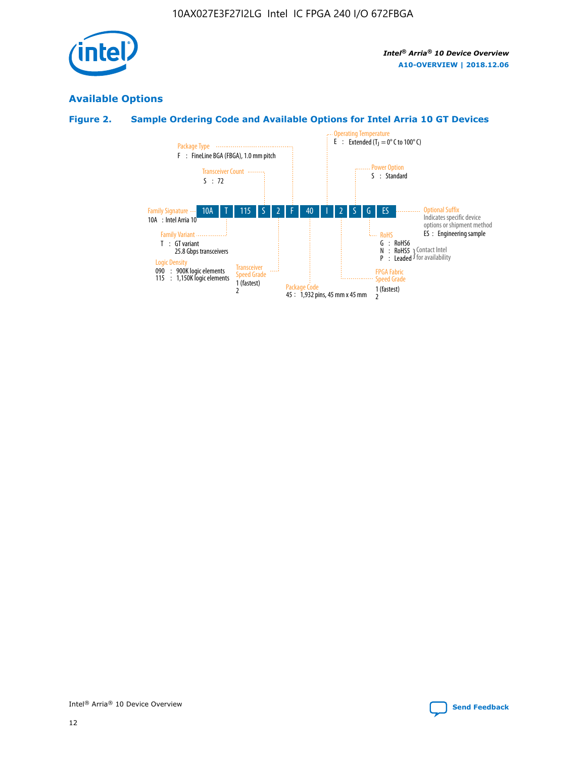

## **Available Options**

#### **Figure 2. Sample Ordering Code and Available Options for Intel Arria 10 GT Devices**

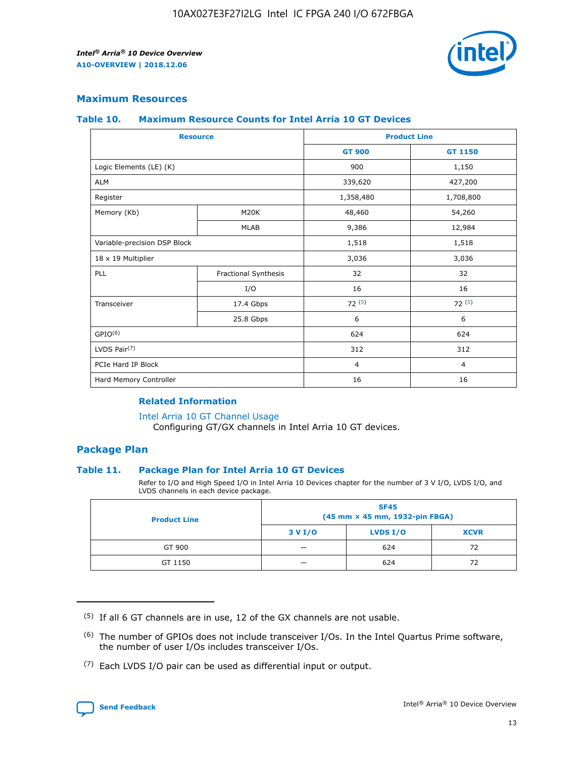

#### **Maximum Resources**

#### **Table 10. Maximum Resource Counts for Intel Arria 10 GT Devices**

|                              | <b>Resource</b>      | <b>Product Line</b> |                |  |
|------------------------------|----------------------|---------------------|----------------|--|
|                              |                      | <b>GT 900</b>       | GT 1150        |  |
| Logic Elements (LE) (K)      |                      | 900                 | 1,150          |  |
| <b>ALM</b>                   |                      | 339,620             | 427,200        |  |
| Register                     |                      | 1,358,480           | 1,708,800      |  |
| Memory (Kb)                  | M20K                 | 48,460              | 54,260         |  |
|                              | <b>MLAB</b>          | 9,386               | 12,984         |  |
| Variable-precision DSP Block |                      | 1,518               | 1,518          |  |
| 18 x 19 Multiplier           |                      | 3,036               | 3,036          |  |
| PLL                          | Fractional Synthesis | 32                  | 32             |  |
|                              | I/O                  | 16                  | 16             |  |
| Transceiver                  | 17.4 Gbps            | 72(5)               | 72(5)          |  |
|                              | 25.8 Gbps            | 6                   | 6              |  |
| GPIO <sup>(6)</sup>          |                      | 624                 | 624            |  |
| LVDS Pair $(7)$              |                      | 312                 | 312            |  |
| PCIe Hard IP Block           |                      | $\overline{4}$      | $\overline{4}$ |  |
| Hard Memory Controller       |                      | 16                  | 16             |  |

#### **Related Information**

#### [Intel Arria 10 GT Channel Usage](https://www.intel.com/content/www/us/en/programmable/documentation/nik1398707230472.html#nik1398707008178)

Configuring GT/GX channels in Intel Arria 10 GT devices.

#### **Package Plan**

#### **Table 11. Package Plan for Intel Arria 10 GT Devices**

Refer to I/O and High Speed I/O in Intel Arria 10 Devices chapter for the number of 3 V I/O, LVDS I/O, and LVDS channels in each device package.

| <b>Product Line</b> | <b>SF45</b><br>(45 mm × 45 mm, 1932-pin FBGA) |                 |             |  |  |  |
|---------------------|-----------------------------------------------|-----------------|-------------|--|--|--|
|                     | 3 V I/O                                       | <b>LVDS I/O</b> | <b>XCVR</b> |  |  |  |
| GT 900              |                                               | 624             | 72          |  |  |  |
| GT 1150             |                                               | 624             | 72          |  |  |  |

<sup>(7)</sup> Each LVDS I/O pair can be used as differential input or output.



 $(5)$  If all 6 GT channels are in use, 12 of the GX channels are not usable.

<sup>(6)</sup> The number of GPIOs does not include transceiver I/Os. In the Intel Quartus Prime software, the number of user I/Os includes transceiver I/Os.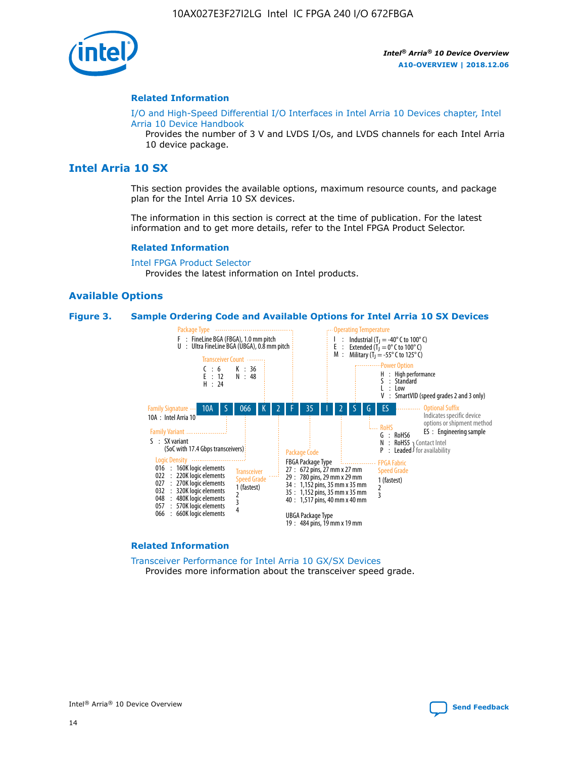

#### **Related Information**

[I/O and High-Speed Differential I/O Interfaces in Intel Arria 10 Devices chapter, Intel](https://www.intel.com/content/www/us/en/programmable/documentation/sam1403482614086.html#sam1403482030321) [Arria 10 Device Handbook](https://www.intel.com/content/www/us/en/programmable/documentation/sam1403482614086.html#sam1403482030321)

Provides the number of 3 V and LVDS I/Os, and LVDS channels for each Intel Arria 10 device package.

#### **Intel Arria 10 SX**

This section provides the available options, maximum resource counts, and package plan for the Intel Arria 10 SX devices.

The information in this section is correct at the time of publication. For the latest information and to get more details, refer to the Intel FPGA Product Selector.

#### **Related Information**

[Intel FPGA Product Selector](http://www.altera.com/products/selector/psg-selector.html) Provides the latest information on Intel products.

#### **Available Options**

#### **Figure 3. Sample Ordering Code and Available Options for Intel Arria 10 SX Devices**



#### **Related Information**

[Transceiver Performance for Intel Arria 10 GX/SX Devices](https://www.intel.com/content/www/us/en/programmable/documentation/mcn1413182292568.html#mcn1413213965502) Provides more information about the transceiver speed grade.

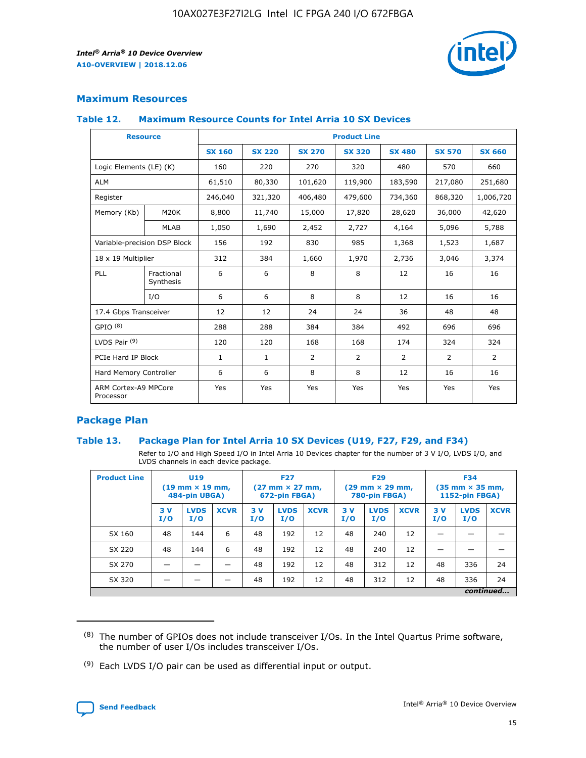

#### **Maximum Resources**

#### **Table 12. Maximum Resource Counts for Intel Arria 10 SX Devices**

|                                   | <b>Resource</b>         | <b>Product Line</b> |               |                |                |                |                |                |  |  |  |
|-----------------------------------|-------------------------|---------------------|---------------|----------------|----------------|----------------|----------------|----------------|--|--|--|
|                                   |                         | <b>SX 160</b>       | <b>SX 220</b> | <b>SX 270</b>  | <b>SX 320</b>  | <b>SX 480</b>  | <b>SX 570</b>  | <b>SX 660</b>  |  |  |  |
| Logic Elements (LE) (K)           |                         | 160                 | 220           | 270            | 320            | 480            | 570            | 660            |  |  |  |
| <b>ALM</b>                        |                         | 61,510              | 80,330        | 101,620        | 119,900        | 183,590        | 217,080        | 251,680        |  |  |  |
| Register                          |                         | 246,040             | 321,320       | 406,480        | 479,600        | 734,360        | 868,320        | 1,006,720      |  |  |  |
| Memory (Kb)                       | <b>M20K</b>             | 8,800               | 11,740        | 15,000         | 17,820         | 28,620         | 36,000         | 42,620         |  |  |  |
|                                   | <b>MLAB</b>             | 1,050               | 1,690         | 2,452          | 2,727          | 4,164          | 5,096          | 5,788          |  |  |  |
| Variable-precision DSP Block      |                         | 156                 | 192           | 830            | 985            | 1,368          | 1,523          | 1,687          |  |  |  |
| 18 x 19 Multiplier                |                         | 312                 | 384           | 1,660          | 1,970          | 2,736          | 3,046          | 3,374          |  |  |  |
| <b>PLL</b>                        | Fractional<br>Synthesis | 6                   | 6             | 8              | 8              | 12             | 16             | 16             |  |  |  |
|                                   | I/O                     | 6                   | 6             | 8              | 8              | 12             | 16             | 16             |  |  |  |
| 17.4 Gbps Transceiver             |                         | 12                  | 12            | 24             | 24             | 36             | 48             | 48             |  |  |  |
| GPIO <sup>(8)</sup>               |                         | 288                 | 288           | 384            | 384            | 492            | 696            | 696            |  |  |  |
| LVDS Pair $(9)$                   |                         | 120                 | 120           | 168            | 168            | 174            | 324            | 324            |  |  |  |
| PCIe Hard IP Block                |                         | $\mathbf{1}$        | $\mathbf{1}$  | $\overline{2}$ | $\overline{2}$ | $\overline{2}$ | $\overline{2}$ | $\overline{2}$ |  |  |  |
| Hard Memory Controller            |                         | 6                   | 6             | 8              | 8              | 12             | 16             | 16             |  |  |  |
| ARM Cortex-A9 MPCore<br>Processor |                         | Yes                 | Yes           | Yes            | Yes            | Yes            | Yes            | Yes            |  |  |  |

#### **Package Plan**

#### **Table 13. Package Plan for Intel Arria 10 SX Devices (U19, F27, F29, and F34)**

Refer to I/O and High Speed I/O in Intel Arria 10 Devices chapter for the number of 3 V I/O, LVDS I/O, and LVDS channels in each device package.

| <b>Product Line</b> | <b>U19</b><br>$(19 \text{ mm} \times 19 \text{ mm})$<br>484-pin UBGA) |                    |             | <b>F27</b><br>$(27 \text{ mm} \times 27 \text{ mm})$<br>672-pin FBGA) |                    | <b>F29</b><br>$(29 \text{ mm} \times 29 \text{ mm})$<br>780-pin FBGA) |           |                    | <b>F34</b><br>$(35 \text{ mm} \times 35 \text{ mm})$<br><b>1152-pin FBGA)</b> |           |                    |             |
|---------------------|-----------------------------------------------------------------------|--------------------|-------------|-----------------------------------------------------------------------|--------------------|-----------------------------------------------------------------------|-----------|--------------------|-------------------------------------------------------------------------------|-----------|--------------------|-------------|
|                     | 3V<br>I/O                                                             | <b>LVDS</b><br>I/O | <b>XCVR</b> | 3V<br>I/O                                                             | <b>LVDS</b><br>I/O | <b>XCVR</b>                                                           | 3V<br>I/O | <b>LVDS</b><br>I/O | <b>XCVR</b>                                                                   | 3V<br>I/O | <b>LVDS</b><br>I/O | <b>XCVR</b> |
| SX 160              | 48                                                                    | 144                | 6           | 48                                                                    | 192                | 12                                                                    | 48        | 240                | 12                                                                            | -         |                    |             |
| SX 220              | 48                                                                    | 144                | 6           | 48                                                                    | 192                | 12                                                                    | 48        | 240                | 12                                                                            |           |                    |             |
| SX 270              |                                                                       |                    |             | 48                                                                    | 192                | 12                                                                    | 48        | 312                | 12                                                                            | 48        | 336                | 24          |
| SX 320              |                                                                       |                    |             | 48                                                                    | 192                | 12                                                                    | 48        | 312                | 12                                                                            | 48        | 336                | 24          |
|                     | continued                                                             |                    |             |                                                                       |                    |                                                                       |           |                    |                                                                               |           |                    |             |

 $(8)$  The number of GPIOs does not include transceiver I/Os. In the Intel Quartus Prime software, the number of user I/Os includes transceiver I/Os.

 $(9)$  Each LVDS I/O pair can be used as differential input or output.

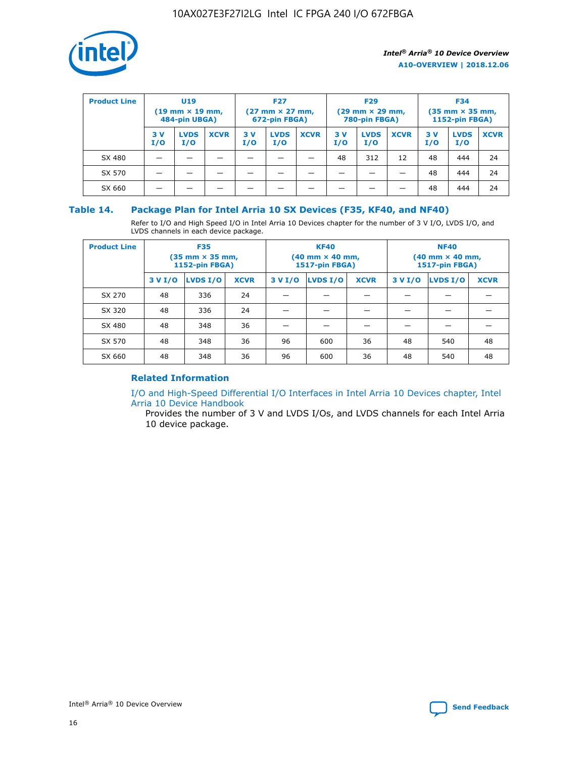

| <b>Product Line</b> | U <sub>19</sub><br>$(19 \text{ mm} \times 19 \text{ mm})$<br>484-pin UBGA) |                    | <b>F27</b><br>$(27 \text{ mm} \times 27 \text{ mm})$<br>672-pin FBGA) |           |                    | <b>F29</b><br>$(29 \text{ mm} \times 29 \text{ mm})$<br>780-pin FBGA) |           |                    | <b>F34</b><br>$(35$ mm $\times$ 35 mm,<br><b>1152-pin FBGA)</b> |           |                    |             |
|---------------------|----------------------------------------------------------------------------|--------------------|-----------------------------------------------------------------------|-----------|--------------------|-----------------------------------------------------------------------|-----------|--------------------|-----------------------------------------------------------------|-----------|--------------------|-------------|
|                     | 3V<br>I/O                                                                  | <b>LVDS</b><br>I/O | <b>XCVR</b>                                                           | 3V<br>I/O | <b>LVDS</b><br>I/O | <b>XCVR</b>                                                           | 3V<br>I/O | <b>LVDS</b><br>I/O | <b>XCVR</b>                                                     | 3V<br>I/O | <b>LVDS</b><br>I/O | <b>XCVR</b> |
| SX 480              |                                                                            |                    |                                                                       |           |                    |                                                                       | 48        | 312                | 12                                                              | 48        | 444                | 24          |
| SX 570              |                                                                            |                    |                                                                       |           |                    |                                                                       |           |                    |                                                                 | 48        | 444                | 24          |
| SX 660              |                                                                            |                    |                                                                       |           |                    |                                                                       |           |                    |                                                                 | 48        | 444                | 24          |

#### **Table 14. Package Plan for Intel Arria 10 SX Devices (F35, KF40, and NF40)**

Refer to I/O and High Speed I/O in Intel Arria 10 Devices chapter for the number of 3 V I/O, LVDS I/O, and LVDS channels in each device package.

| <b>Product Line</b> | <b>F35</b><br>(35 mm × 35 mm,<br>1152-pin FBGA) |          |             |                                           | <b>KF40</b><br>(40 mm × 40 mm,<br>1517-pin FBGA) |    | <b>NF40</b><br>(40 mm × 40 mm,<br>1517-pin FBGA) |          |             |  |
|---------------------|-------------------------------------------------|----------|-------------|-------------------------------------------|--------------------------------------------------|----|--------------------------------------------------|----------|-------------|--|
|                     | 3 V I/O                                         | LVDS I/O | <b>XCVR</b> | <b>LVDS I/O</b><br>3 V I/O<br><b>XCVR</b> |                                                  |    | 3 V I/O                                          | LVDS I/O | <b>XCVR</b> |  |
| SX 270              | 48                                              | 336      | 24          |                                           |                                                  |    |                                                  |          |             |  |
| SX 320              | 48                                              | 336      | 24          |                                           |                                                  |    |                                                  |          |             |  |
| SX 480              | 48                                              | 348      | 36          |                                           |                                                  |    |                                                  |          |             |  |
| SX 570              | 48                                              | 348      | 36          | 96                                        | 600                                              | 36 | 48                                               | 540      | 48          |  |
| SX 660              | 48                                              | 348      | 36          | 96                                        | 600                                              | 36 | 48                                               | 540      | 48          |  |

#### **Related Information**

[I/O and High-Speed Differential I/O Interfaces in Intel Arria 10 Devices chapter, Intel](https://www.intel.com/content/www/us/en/programmable/documentation/sam1403482614086.html#sam1403482030321) [Arria 10 Device Handbook](https://www.intel.com/content/www/us/en/programmable/documentation/sam1403482614086.html#sam1403482030321)

Provides the number of 3 V and LVDS I/Os, and LVDS channels for each Intel Arria 10 device package.

Intel<sup>®</sup> Arria<sup>®</sup> 10 Device Overview **[Send Feedback](mailto:FPGAtechdocfeedback@intel.com?subject=Feedback%20on%20Intel%20Arria%2010%20Device%20Overview%20(A10-OVERVIEW%202018.12.06)&body=We%20appreciate%20your%20feedback.%20In%20your%20comments,%20also%20specify%20the%20page%20number%20or%20paragraph.%20Thank%20you.)** Send Feedback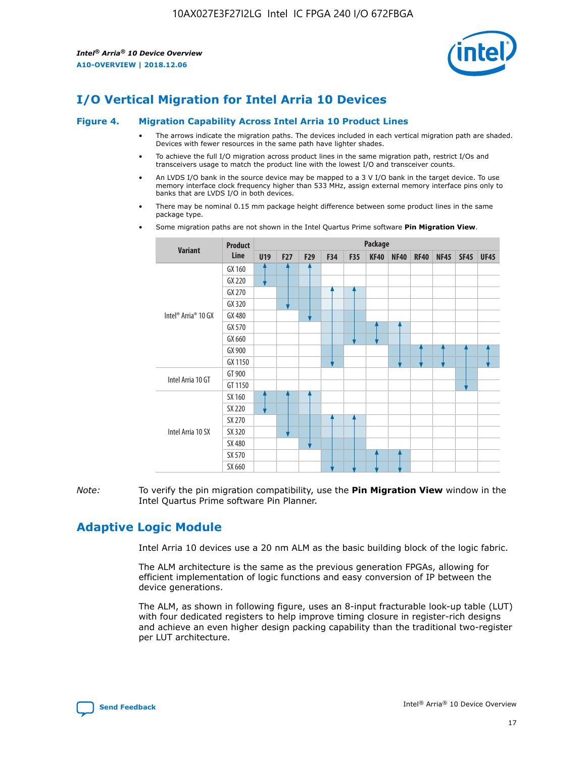

## **I/O Vertical Migration for Intel Arria 10 Devices**

#### **Figure 4. Migration Capability Across Intel Arria 10 Product Lines**

- The arrows indicate the migration paths. The devices included in each vertical migration path are shaded. Devices with fewer resources in the same path have lighter shades.
- To achieve the full I/O migration across product lines in the same migration path, restrict I/Os and transceivers usage to match the product line with the lowest I/O and transceiver counts.
- An LVDS I/O bank in the source device may be mapped to a 3 V I/O bank in the target device. To use memory interface clock frequency higher than 533 MHz, assign external memory interface pins only to banks that are LVDS I/O in both devices.
- There may be nominal 0.15 mm package height difference between some product lines in the same package type.
	- **Variant Product Line Package U19 F27 F29 F34 F35 KF40 NF40 RF40 NF45 SF45 UF45** Intel® Arria® 10 GX GX 160 GX 220 GX 270 GX 320 GX 480 GX 570 GX 660 GX 900 GX 1150 Intel Arria 10 GT GT 900 GT 1150 Intel Arria 10 SX SX 160 SX 220 SX 270 SX 320 SX 480 SX 570 SX 660
- Some migration paths are not shown in the Intel Quartus Prime software **Pin Migration View**.

*Note:* To verify the pin migration compatibility, use the **Pin Migration View** window in the Intel Quartus Prime software Pin Planner.

## **Adaptive Logic Module**

Intel Arria 10 devices use a 20 nm ALM as the basic building block of the logic fabric.

The ALM architecture is the same as the previous generation FPGAs, allowing for efficient implementation of logic functions and easy conversion of IP between the device generations.

The ALM, as shown in following figure, uses an 8-input fracturable look-up table (LUT) with four dedicated registers to help improve timing closure in register-rich designs and achieve an even higher design packing capability than the traditional two-register per LUT architecture.

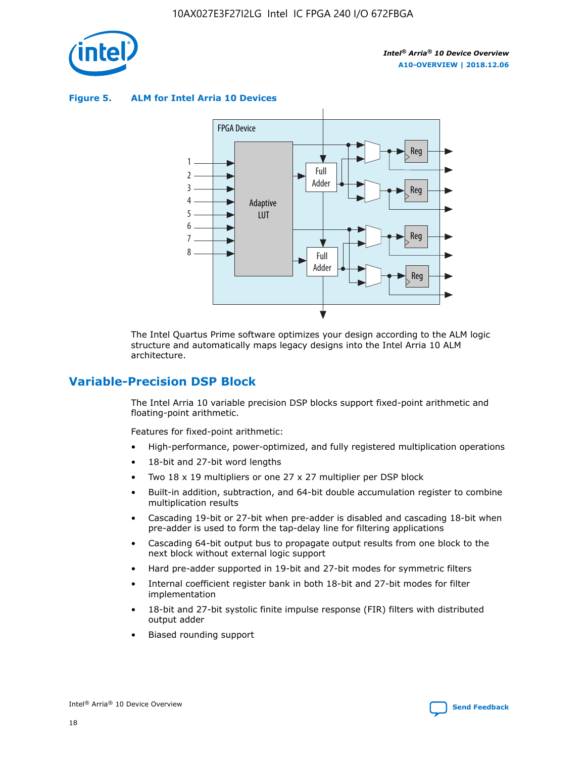

**Figure 5. ALM for Intel Arria 10 Devices**



The Intel Quartus Prime software optimizes your design according to the ALM logic structure and automatically maps legacy designs into the Intel Arria 10 ALM architecture.

## **Variable-Precision DSP Block**

The Intel Arria 10 variable precision DSP blocks support fixed-point arithmetic and floating-point arithmetic.

Features for fixed-point arithmetic:

- High-performance, power-optimized, and fully registered multiplication operations
- 18-bit and 27-bit word lengths
- Two 18 x 19 multipliers or one 27 x 27 multiplier per DSP block
- Built-in addition, subtraction, and 64-bit double accumulation register to combine multiplication results
- Cascading 19-bit or 27-bit when pre-adder is disabled and cascading 18-bit when pre-adder is used to form the tap-delay line for filtering applications
- Cascading 64-bit output bus to propagate output results from one block to the next block without external logic support
- Hard pre-adder supported in 19-bit and 27-bit modes for symmetric filters
- Internal coefficient register bank in both 18-bit and 27-bit modes for filter implementation
- 18-bit and 27-bit systolic finite impulse response (FIR) filters with distributed output adder
- Biased rounding support

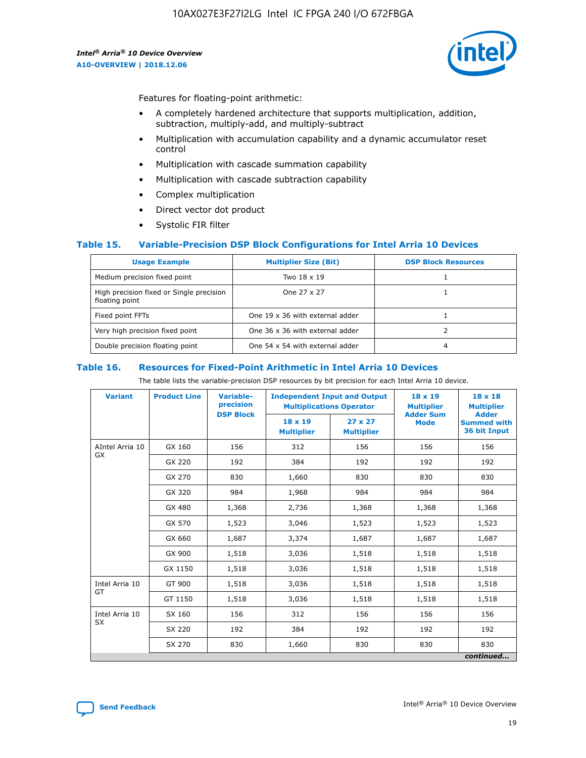

Features for floating-point arithmetic:

- A completely hardened architecture that supports multiplication, addition, subtraction, multiply-add, and multiply-subtract
- Multiplication with accumulation capability and a dynamic accumulator reset control
- Multiplication with cascade summation capability
- Multiplication with cascade subtraction capability
- Complex multiplication
- Direct vector dot product
- Systolic FIR filter

#### **Table 15. Variable-Precision DSP Block Configurations for Intel Arria 10 Devices**

| <b>Usage Example</b>                                       | <b>Multiplier Size (Bit)</b>    | <b>DSP Block Resources</b> |
|------------------------------------------------------------|---------------------------------|----------------------------|
| Medium precision fixed point                               | Two 18 x 19                     |                            |
| High precision fixed or Single precision<br>floating point | One 27 x 27                     |                            |
| Fixed point FFTs                                           | One 19 x 36 with external adder |                            |
| Very high precision fixed point                            | One 36 x 36 with external adder |                            |
| Double precision floating point                            | One 54 x 54 with external adder | 4                          |

#### **Table 16. Resources for Fixed-Point Arithmetic in Intel Arria 10 Devices**

The table lists the variable-precision DSP resources by bit precision for each Intel Arria 10 device.

| <b>Variant</b>        | <b>Product Line</b> | <b>Variable-</b><br>precision<br><b>DSP Block</b> | <b>Independent Input and Output</b><br><b>Multiplications Operator</b> |                                     | 18 x 19<br><b>Multiplier</b><br><b>Adder Sum</b> | $18 \times 18$<br><b>Multiplier</b><br><b>Adder</b> |
|-----------------------|---------------------|---------------------------------------------------|------------------------------------------------------------------------|-------------------------------------|--------------------------------------------------|-----------------------------------------------------|
|                       |                     |                                                   | 18 x 19<br><b>Multiplier</b>                                           | $27 \times 27$<br><b>Multiplier</b> | <b>Mode</b>                                      | <b>Summed with</b><br>36 bit Input                  |
| AIntel Arria 10<br>GX | GX 160              | 156                                               | 312                                                                    | 156                                 | 156                                              | 156                                                 |
|                       | GX 220              | 192                                               | 384                                                                    | 192                                 | 192                                              | 192                                                 |
|                       | GX 270              | 830                                               | 1,660                                                                  | 830                                 | 830                                              | 830                                                 |
|                       | GX 320              | 984                                               | 1,968                                                                  | 984                                 | 984                                              | 984                                                 |
|                       | GX 480              | 1,368                                             | 2,736                                                                  | 1,368                               | 1,368                                            | 1,368                                               |
|                       | GX 570              | 1,523                                             | 3,046                                                                  | 1,523                               | 1,523                                            | 1,523                                               |
|                       | GX 660              | 1,687                                             | 3,374                                                                  | 1,687                               | 1,687                                            | 1,687                                               |
|                       | GX 900              | 1,518                                             | 3,036                                                                  | 1,518                               | 1,518                                            | 1,518                                               |
|                       | GX 1150             | 1,518                                             | 3,036                                                                  | 1,518                               | 1,518                                            | 1,518                                               |
| Intel Arria 10        | GT 900              | 1,518                                             | 3,036                                                                  | 1,518                               | 1,518                                            | 1,518                                               |
| GT                    | GT 1150             | 1,518                                             | 3,036                                                                  | 1,518                               | 1,518                                            | 1,518                                               |
| Intel Arria 10        | SX 160              | 156                                               | 312                                                                    | 156                                 | 156                                              | 156                                                 |
| <b>SX</b>             | SX 220<br>192       |                                                   | 384                                                                    | 192                                 | 192                                              | 192                                                 |
|                       | SX 270              | 830                                               | 1,660                                                                  | 830                                 | 830                                              | 830                                                 |
|                       |                     |                                                   |                                                                        |                                     |                                                  | continued                                           |

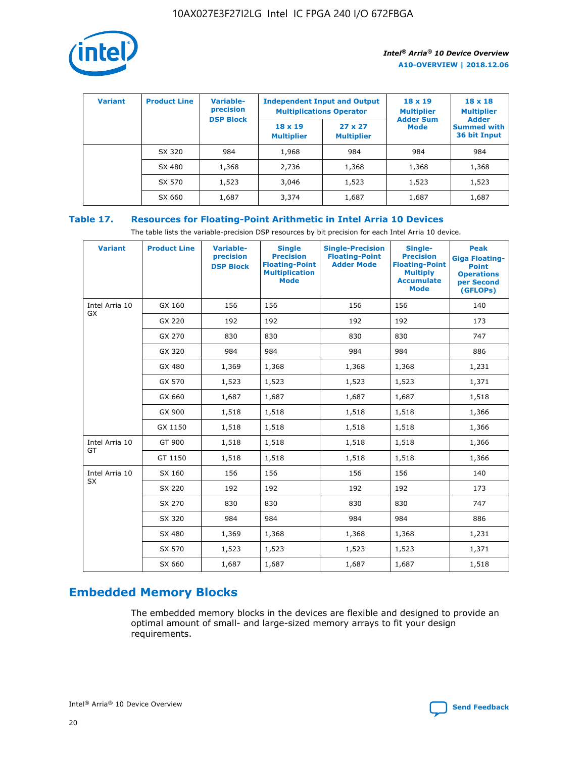

| <b>Variant</b> | <b>Product Line</b> | Variable-<br>precision | <b>Independent Input and Output</b><br><b>Multiplications Operator</b> |                                     | $18 \times 19$<br><b>Multiplier</b> | $18 \times 18$<br><b>Multiplier</b><br><b>Adder</b> |  |
|----------------|---------------------|------------------------|------------------------------------------------------------------------|-------------------------------------|-------------------------------------|-----------------------------------------------------|--|
|                |                     | <b>DSP Block</b>       | $18 \times 19$<br><b>Multiplier</b>                                    | $27 \times 27$<br><b>Multiplier</b> | <b>Adder Sum</b><br><b>Mode</b>     | <b>Summed with</b><br>36 bit Input                  |  |
|                | SX 320              | 984                    | 1,968                                                                  | 984                                 | 984                                 | 984                                                 |  |
|                | SX 480              | 1,368                  | 2,736                                                                  | 1,368                               | 1,368                               | 1,368                                               |  |
|                | SX 570              | 1,523                  | 3,046                                                                  | 1,523                               | 1,523                               | 1,523                                               |  |
|                | SX 660              | 1,687                  | 3,374                                                                  | 1,687                               | 1,687                               | 1,687                                               |  |

## **Table 17. Resources for Floating-Point Arithmetic in Intel Arria 10 Devices**

The table lists the variable-precision DSP resources by bit precision for each Intel Arria 10 device.

| <b>Variant</b> | <b>Product Line</b> | <b>Variable-</b><br>precision<br><b>DSP Block</b> | <b>Single</b><br><b>Precision</b><br><b>Floating-Point</b><br><b>Multiplication</b><br><b>Mode</b> | <b>Single-Precision</b><br><b>Floating-Point</b><br><b>Adder Mode</b> | Single-<br><b>Precision</b><br><b>Floating-Point</b><br><b>Multiply</b><br><b>Accumulate</b><br><b>Mode</b> | <b>Peak</b><br><b>Giga Floating-</b><br><b>Point</b><br><b>Operations</b><br>per Second<br>(GFLOPs) |
|----------------|---------------------|---------------------------------------------------|----------------------------------------------------------------------------------------------------|-----------------------------------------------------------------------|-------------------------------------------------------------------------------------------------------------|-----------------------------------------------------------------------------------------------------|
| Intel Arria 10 | GX 160              | 156                                               | 156                                                                                                | 156                                                                   | 156                                                                                                         | 140                                                                                                 |
| <b>GX</b>      | GX 220              | 192                                               | 192                                                                                                | 192                                                                   | 192                                                                                                         | 173                                                                                                 |
|                | GX 270              | 830                                               | 830                                                                                                | 830                                                                   | 830                                                                                                         | 747                                                                                                 |
|                | GX 320              | 984                                               | 984                                                                                                | 984                                                                   | 984                                                                                                         | 886                                                                                                 |
|                | GX 480              | 1,369                                             | 1,368                                                                                              | 1,368                                                                 | 1,368                                                                                                       | 1,231                                                                                               |
|                | GX 570              | 1,523                                             | 1,523                                                                                              | 1,523                                                                 | 1,523                                                                                                       | 1,371                                                                                               |
|                | GX 660              | 1,687                                             | 1,687                                                                                              | 1,687                                                                 | 1,687                                                                                                       | 1,518                                                                                               |
|                | GX 900              | 1,518                                             | 1,518                                                                                              | 1,518                                                                 | 1,518                                                                                                       | 1,366                                                                                               |
|                | GX 1150             | 1,518                                             | 1,518                                                                                              | 1,518                                                                 | 1,518                                                                                                       | 1,366                                                                                               |
| Intel Arria 10 | GT 900              | 1,518                                             | 1,518                                                                                              | 1,518                                                                 | 1,518                                                                                                       | 1,366                                                                                               |
| GT             | GT 1150             | 1,518                                             | 1,518                                                                                              | 1,518                                                                 | 1,518                                                                                                       | 1,366                                                                                               |
| Intel Arria 10 | SX 160              | 156                                               | 156                                                                                                | 156                                                                   | 156                                                                                                         | 140                                                                                                 |
| SX             | SX 220              | 192                                               | 192                                                                                                | 192                                                                   | 192                                                                                                         | 173                                                                                                 |
|                | SX 270              | 830                                               | 830                                                                                                | 830                                                                   | 830                                                                                                         | 747                                                                                                 |
|                | SX 320              | 984                                               | 984                                                                                                | 984                                                                   | 984                                                                                                         | 886                                                                                                 |
|                | SX 480              | 1,369                                             | 1,368                                                                                              | 1,368                                                                 | 1,368                                                                                                       | 1,231                                                                                               |
|                | SX 570              | 1,523                                             | 1,523                                                                                              | 1,523                                                                 | 1,523                                                                                                       | 1,371                                                                                               |
|                | SX 660              | 1,687                                             | 1,687                                                                                              | 1,687                                                                 | 1,687                                                                                                       | 1,518                                                                                               |

## **Embedded Memory Blocks**

The embedded memory blocks in the devices are flexible and designed to provide an optimal amount of small- and large-sized memory arrays to fit your design requirements.

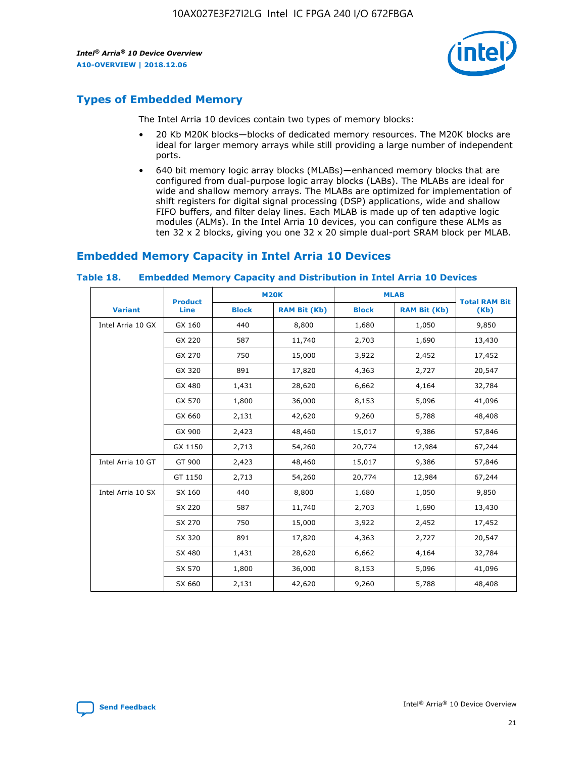

## **Types of Embedded Memory**

The Intel Arria 10 devices contain two types of memory blocks:

- 20 Kb M20K blocks—blocks of dedicated memory resources. The M20K blocks are ideal for larger memory arrays while still providing a large number of independent ports.
- 640 bit memory logic array blocks (MLABs)—enhanced memory blocks that are configured from dual-purpose logic array blocks (LABs). The MLABs are ideal for wide and shallow memory arrays. The MLABs are optimized for implementation of shift registers for digital signal processing (DSP) applications, wide and shallow FIFO buffers, and filter delay lines. Each MLAB is made up of ten adaptive logic modules (ALMs). In the Intel Arria 10 devices, you can configure these ALMs as ten 32 x 2 blocks, giving you one 32 x 20 simple dual-port SRAM block per MLAB.

## **Embedded Memory Capacity in Intel Arria 10 Devices**

|                   | <b>Product</b> |              | <b>M20K</b>         | <b>MLAB</b>  |                     | <b>Total RAM Bit</b> |
|-------------------|----------------|--------------|---------------------|--------------|---------------------|----------------------|
| <b>Variant</b>    | <b>Line</b>    | <b>Block</b> | <b>RAM Bit (Kb)</b> | <b>Block</b> | <b>RAM Bit (Kb)</b> | (Kb)                 |
| Intel Arria 10 GX | GX 160         | 440          | 8,800               | 1,680        | 1,050               | 9,850                |
|                   | GX 220         | 587          | 11,740              | 2,703        | 1,690               | 13,430               |
|                   | GX 270         | 750          | 15,000              | 3,922        | 2,452               | 17,452               |
|                   | GX 320         | 891          | 17,820              | 4,363        | 2,727               | 20,547               |
|                   | GX 480         | 1,431        | 28,620              | 6,662        | 4,164               | 32,784               |
|                   | GX 570         | 1,800        | 36,000              | 8,153        | 5,096               | 41,096               |
|                   | GX 660         | 2,131        | 42,620              | 9,260        | 5,788               | 48,408               |
|                   | GX 900         | 2,423        | 48,460              | 15,017       | 9,386               | 57,846               |
|                   | GX 1150        | 2,713        | 54,260              | 20,774       | 12,984              | 67,244               |
| Intel Arria 10 GT | GT 900         | 2,423        | 48,460              | 15,017       | 9,386               | 57,846               |
|                   | GT 1150        | 2,713        | 54,260              | 20,774       | 12,984              | 67,244               |
| Intel Arria 10 SX | SX 160         | 440          | 8,800               | 1,680        | 1,050               | 9,850                |
|                   | SX 220         | 587          | 11,740              | 2,703        | 1,690               | 13,430               |
|                   | SX 270         | 750          | 15,000              | 3,922        | 2,452               | 17,452               |
|                   | SX 320         | 891          | 17,820              | 4,363        | 2,727               | 20,547               |
|                   | SX 480         | 1,431        | 28,620              | 6,662        | 4,164               | 32,784               |
|                   | SX 570         | 1,800        | 36,000              | 8,153        | 5,096               | 41,096               |
|                   | SX 660         | 2,131        | 42,620              | 9,260        | 5,788               | 48,408               |

#### **Table 18. Embedded Memory Capacity and Distribution in Intel Arria 10 Devices**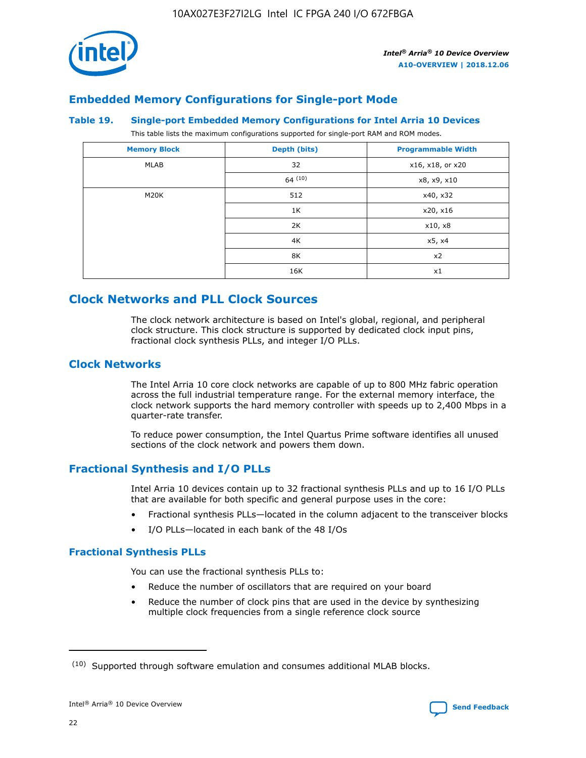

## **Embedded Memory Configurations for Single-port Mode**

#### **Table 19. Single-port Embedded Memory Configurations for Intel Arria 10 Devices**

This table lists the maximum configurations supported for single-port RAM and ROM modes.

| <b>Memory Block</b> | Depth (bits) | <b>Programmable Width</b> |
|---------------------|--------------|---------------------------|
| MLAB                | 32           | x16, x18, or x20          |
|                     | 64(10)       | x8, x9, x10               |
| M20K                | 512          | x40, x32                  |
|                     | 1K           | x20, x16                  |
|                     | 2K           | x10, x8                   |
|                     | 4K           | x5, x4                    |
|                     | 8K           | x2                        |
|                     | 16K          | x1                        |

## **Clock Networks and PLL Clock Sources**

The clock network architecture is based on Intel's global, regional, and peripheral clock structure. This clock structure is supported by dedicated clock input pins, fractional clock synthesis PLLs, and integer I/O PLLs.

#### **Clock Networks**

The Intel Arria 10 core clock networks are capable of up to 800 MHz fabric operation across the full industrial temperature range. For the external memory interface, the clock network supports the hard memory controller with speeds up to 2,400 Mbps in a quarter-rate transfer.

To reduce power consumption, the Intel Quartus Prime software identifies all unused sections of the clock network and powers them down.

#### **Fractional Synthesis and I/O PLLs**

Intel Arria 10 devices contain up to 32 fractional synthesis PLLs and up to 16 I/O PLLs that are available for both specific and general purpose uses in the core:

- Fractional synthesis PLLs—located in the column adjacent to the transceiver blocks
- I/O PLLs—located in each bank of the 48 I/Os

#### **Fractional Synthesis PLLs**

You can use the fractional synthesis PLLs to:

- Reduce the number of oscillators that are required on your board
- Reduce the number of clock pins that are used in the device by synthesizing multiple clock frequencies from a single reference clock source

<sup>(10)</sup> Supported through software emulation and consumes additional MLAB blocks.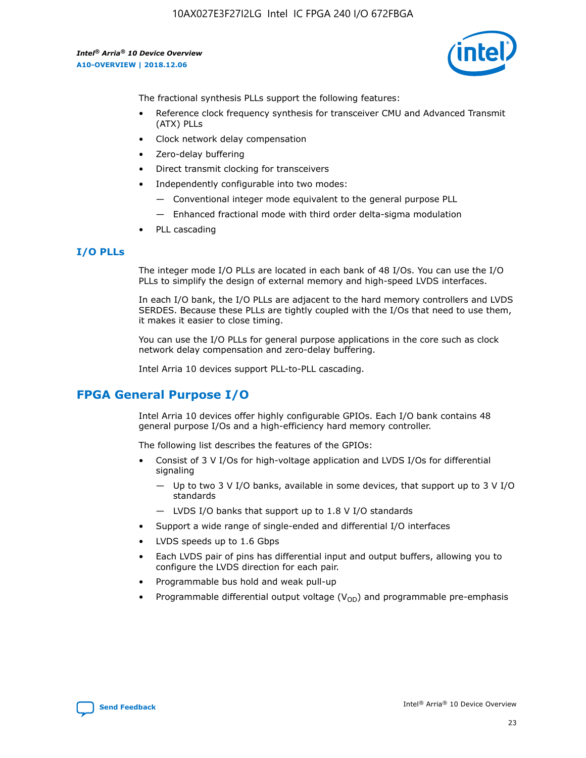

The fractional synthesis PLLs support the following features:

- Reference clock frequency synthesis for transceiver CMU and Advanced Transmit (ATX) PLLs
- Clock network delay compensation
- Zero-delay buffering
- Direct transmit clocking for transceivers
- Independently configurable into two modes:
	- Conventional integer mode equivalent to the general purpose PLL
	- Enhanced fractional mode with third order delta-sigma modulation
- PLL cascading

#### **I/O PLLs**

The integer mode I/O PLLs are located in each bank of 48 I/Os. You can use the I/O PLLs to simplify the design of external memory and high-speed LVDS interfaces.

In each I/O bank, the I/O PLLs are adjacent to the hard memory controllers and LVDS SERDES. Because these PLLs are tightly coupled with the I/Os that need to use them, it makes it easier to close timing.

You can use the I/O PLLs for general purpose applications in the core such as clock network delay compensation and zero-delay buffering.

Intel Arria 10 devices support PLL-to-PLL cascading.

## **FPGA General Purpose I/O**

Intel Arria 10 devices offer highly configurable GPIOs. Each I/O bank contains 48 general purpose I/Os and a high-efficiency hard memory controller.

The following list describes the features of the GPIOs:

- Consist of 3 V I/Os for high-voltage application and LVDS I/Os for differential signaling
	- Up to two 3 V I/O banks, available in some devices, that support up to 3 V I/O standards
	- LVDS I/O banks that support up to 1.8 V I/O standards
- Support a wide range of single-ended and differential I/O interfaces
- LVDS speeds up to 1.6 Gbps
- Each LVDS pair of pins has differential input and output buffers, allowing you to configure the LVDS direction for each pair.
- Programmable bus hold and weak pull-up
- Programmable differential output voltage  $(V_{OD})$  and programmable pre-emphasis

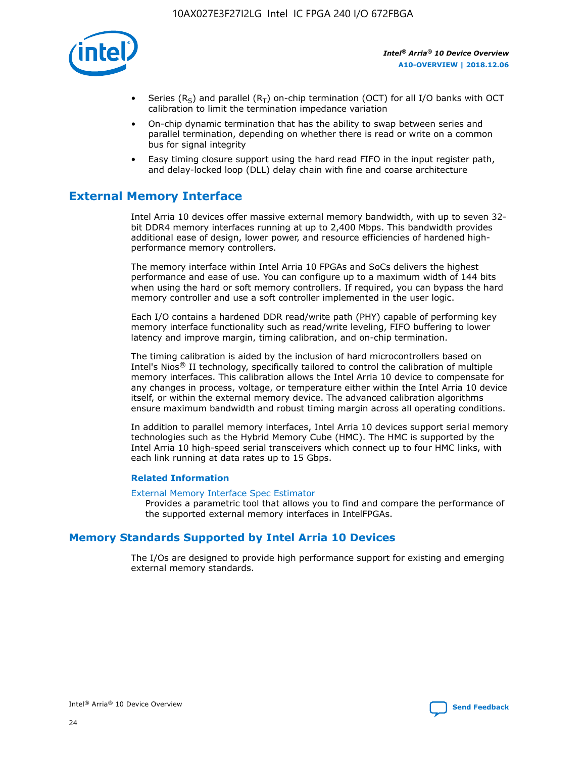

- Series (R<sub>S</sub>) and parallel (R<sub>T</sub>) on-chip termination (OCT) for all I/O banks with OCT calibration to limit the termination impedance variation
- On-chip dynamic termination that has the ability to swap between series and parallel termination, depending on whether there is read or write on a common bus for signal integrity
- Easy timing closure support using the hard read FIFO in the input register path, and delay-locked loop (DLL) delay chain with fine and coarse architecture

## **External Memory Interface**

Intel Arria 10 devices offer massive external memory bandwidth, with up to seven 32 bit DDR4 memory interfaces running at up to 2,400 Mbps. This bandwidth provides additional ease of design, lower power, and resource efficiencies of hardened highperformance memory controllers.

The memory interface within Intel Arria 10 FPGAs and SoCs delivers the highest performance and ease of use. You can configure up to a maximum width of 144 bits when using the hard or soft memory controllers. If required, you can bypass the hard memory controller and use a soft controller implemented in the user logic.

Each I/O contains a hardened DDR read/write path (PHY) capable of performing key memory interface functionality such as read/write leveling, FIFO buffering to lower latency and improve margin, timing calibration, and on-chip termination.

The timing calibration is aided by the inclusion of hard microcontrollers based on Intel's Nios® II technology, specifically tailored to control the calibration of multiple memory interfaces. This calibration allows the Intel Arria 10 device to compensate for any changes in process, voltage, or temperature either within the Intel Arria 10 device itself, or within the external memory device. The advanced calibration algorithms ensure maximum bandwidth and robust timing margin across all operating conditions.

In addition to parallel memory interfaces, Intel Arria 10 devices support serial memory technologies such as the Hybrid Memory Cube (HMC). The HMC is supported by the Intel Arria 10 high-speed serial transceivers which connect up to four HMC links, with each link running at data rates up to 15 Gbps.

#### **Related Information**

#### [External Memory Interface Spec Estimator](http://www.altera.com/technology/memory/estimator/mem-emif-index.html)

Provides a parametric tool that allows you to find and compare the performance of the supported external memory interfaces in IntelFPGAs.

## **Memory Standards Supported by Intel Arria 10 Devices**

The I/Os are designed to provide high performance support for existing and emerging external memory standards.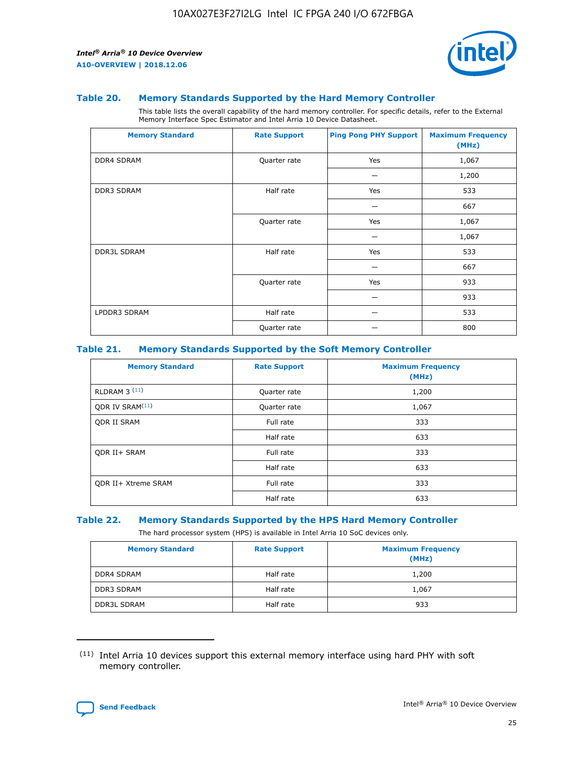

#### **Table 20. Memory Standards Supported by the Hard Memory Controller**

This table lists the overall capability of the hard memory controller. For specific details, refer to the External Memory Interface Spec Estimator and Intel Arria 10 Device Datasheet.

| <b>Memory Standard</b> | <b>Rate Support</b> | <b>Ping Pong PHY Support</b> | <b>Maximum Frequency</b><br>(MHz) |
|------------------------|---------------------|------------------------------|-----------------------------------|
| <b>DDR4 SDRAM</b>      | Quarter rate        | Yes                          | 1,067                             |
|                        |                     |                              | 1,200                             |
| DDR3 SDRAM             | Half rate           | Yes                          | 533                               |
|                        |                     |                              | 667                               |
|                        | Quarter rate        | Yes                          | 1,067                             |
|                        |                     |                              | 1,067                             |
| <b>DDR3L SDRAM</b>     | Half rate           | Yes                          | 533                               |
|                        |                     |                              | 667                               |
|                        | Quarter rate        | Yes                          | 933                               |
|                        |                     |                              | 933                               |
| LPDDR3 SDRAM           | Half rate           |                              | 533                               |
|                        | Quarter rate        |                              | 800                               |

#### **Table 21. Memory Standards Supported by the Soft Memory Controller**

| <b>Memory Standard</b>      | <b>Rate Support</b> | <b>Maximum Frequency</b><br>(MHz) |
|-----------------------------|---------------------|-----------------------------------|
| <b>RLDRAM 3 (11)</b>        | Quarter rate        | 1,200                             |
| ODR IV SRAM <sup>(11)</sup> | Quarter rate        | 1,067                             |
| <b>ODR II SRAM</b>          | Full rate           | 333                               |
|                             | Half rate           | 633                               |
| <b>ODR II+ SRAM</b>         | Full rate           | 333                               |
|                             | Half rate           | 633                               |
| <b>ODR II+ Xtreme SRAM</b>  | Full rate           | 333                               |
|                             | Half rate           | 633                               |

#### **Table 22. Memory Standards Supported by the HPS Hard Memory Controller**

The hard processor system (HPS) is available in Intel Arria 10 SoC devices only.

| <b>Memory Standard</b> | <b>Rate Support</b> | <b>Maximum Frequency</b><br>(MHz) |
|------------------------|---------------------|-----------------------------------|
| <b>DDR4 SDRAM</b>      | Half rate           | 1,200                             |
| DDR3 SDRAM             | Half rate           | 1,067                             |
| <b>DDR3L SDRAM</b>     | Half rate           | 933                               |

<sup>(11)</sup> Intel Arria 10 devices support this external memory interface using hard PHY with soft memory controller.

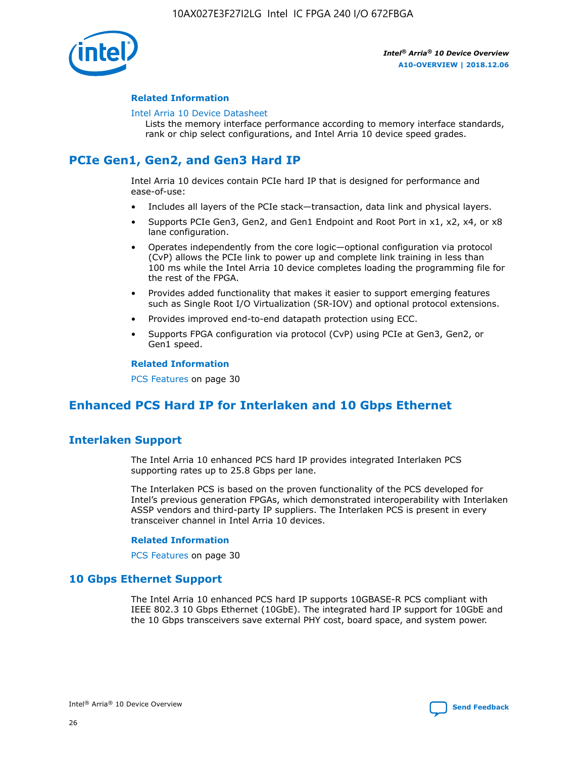

#### **Related Information**

#### [Intel Arria 10 Device Datasheet](https://www.intel.com/content/www/us/en/programmable/documentation/mcn1413182292568.html#mcn1413182153340)

Lists the memory interface performance according to memory interface standards, rank or chip select configurations, and Intel Arria 10 device speed grades.

## **PCIe Gen1, Gen2, and Gen3 Hard IP**

Intel Arria 10 devices contain PCIe hard IP that is designed for performance and ease-of-use:

- Includes all layers of the PCIe stack—transaction, data link and physical layers.
- Supports PCIe Gen3, Gen2, and Gen1 Endpoint and Root Port in x1, x2, x4, or x8 lane configuration.
- Operates independently from the core logic—optional configuration via protocol (CvP) allows the PCIe link to power up and complete link training in less than 100 ms while the Intel Arria 10 device completes loading the programming file for the rest of the FPGA.
- Provides added functionality that makes it easier to support emerging features such as Single Root I/O Virtualization (SR-IOV) and optional protocol extensions.
- Provides improved end-to-end datapath protection using ECC.
- Supports FPGA configuration via protocol (CvP) using PCIe at Gen3, Gen2, or Gen1 speed.

#### **Related Information**

PCS Features on page 30

## **Enhanced PCS Hard IP for Interlaken and 10 Gbps Ethernet**

## **Interlaken Support**

The Intel Arria 10 enhanced PCS hard IP provides integrated Interlaken PCS supporting rates up to 25.8 Gbps per lane.

The Interlaken PCS is based on the proven functionality of the PCS developed for Intel's previous generation FPGAs, which demonstrated interoperability with Interlaken ASSP vendors and third-party IP suppliers. The Interlaken PCS is present in every transceiver channel in Intel Arria 10 devices.

#### **Related Information**

PCS Features on page 30

#### **10 Gbps Ethernet Support**

The Intel Arria 10 enhanced PCS hard IP supports 10GBASE-R PCS compliant with IEEE 802.3 10 Gbps Ethernet (10GbE). The integrated hard IP support for 10GbE and the 10 Gbps transceivers save external PHY cost, board space, and system power.

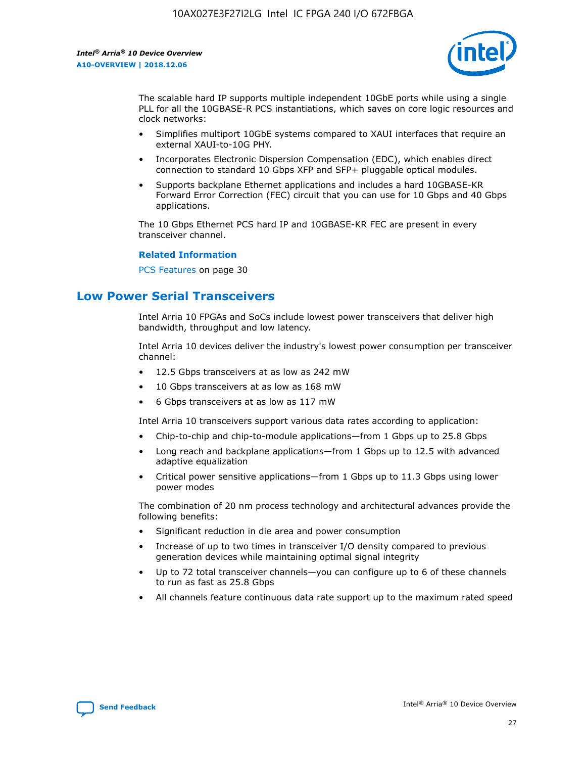

The scalable hard IP supports multiple independent 10GbE ports while using a single PLL for all the 10GBASE-R PCS instantiations, which saves on core logic resources and clock networks:

- Simplifies multiport 10GbE systems compared to XAUI interfaces that require an external XAUI-to-10G PHY.
- Incorporates Electronic Dispersion Compensation (EDC), which enables direct connection to standard 10 Gbps XFP and SFP+ pluggable optical modules.
- Supports backplane Ethernet applications and includes a hard 10GBASE-KR Forward Error Correction (FEC) circuit that you can use for 10 Gbps and 40 Gbps applications.

The 10 Gbps Ethernet PCS hard IP and 10GBASE-KR FEC are present in every transceiver channel.

#### **Related Information**

PCS Features on page 30

## **Low Power Serial Transceivers**

Intel Arria 10 FPGAs and SoCs include lowest power transceivers that deliver high bandwidth, throughput and low latency.

Intel Arria 10 devices deliver the industry's lowest power consumption per transceiver channel:

- 12.5 Gbps transceivers at as low as 242 mW
- 10 Gbps transceivers at as low as 168 mW
- 6 Gbps transceivers at as low as 117 mW

Intel Arria 10 transceivers support various data rates according to application:

- Chip-to-chip and chip-to-module applications—from 1 Gbps up to 25.8 Gbps
- Long reach and backplane applications—from 1 Gbps up to 12.5 with advanced adaptive equalization
- Critical power sensitive applications—from 1 Gbps up to 11.3 Gbps using lower power modes

The combination of 20 nm process technology and architectural advances provide the following benefits:

- Significant reduction in die area and power consumption
- Increase of up to two times in transceiver I/O density compared to previous generation devices while maintaining optimal signal integrity
- Up to 72 total transceiver channels—you can configure up to 6 of these channels to run as fast as 25.8 Gbps
- All channels feature continuous data rate support up to the maximum rated speed

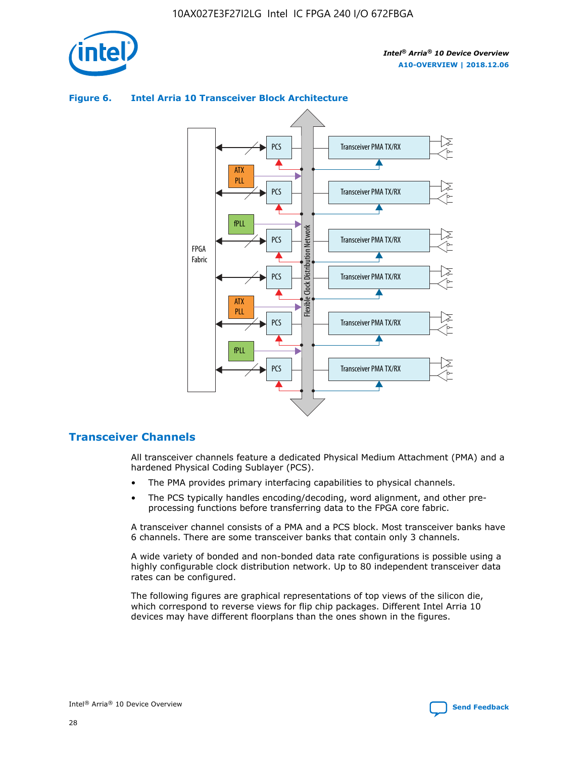



#### **Figure 6. Intel Arria 10 Transceiver Block Architecture**

#### **Transceiver Channels**

All transceiver channels feature a dedicated Physical Medium Attachment (PMA) and a hardened Physical Coding Sublayer (PCS).

- The PMA provides primary interfacing capabilities to physical channels.
- The PCS typically handles encoding/decoding, word alignment, and other preprocessing functions before transferring data to the FPGA core fabric.

A transceiver channel consists of a PMA and a PCS block. Most transceiver banks have 6 channels. There are some transceiver banks that contain only 3 channels.

A wide variety of bonded and non-bonded data rate configurations is possible using a highly configurable clock distribution network. Up to 80 independent transceiver data rates can be configured.

The following figures are graphical representations of top views of the silicon die, which correspond to reverse views for flip chip packages. Different Intel Arria 10 devices may have different floorplans than the ones shown in the figures.

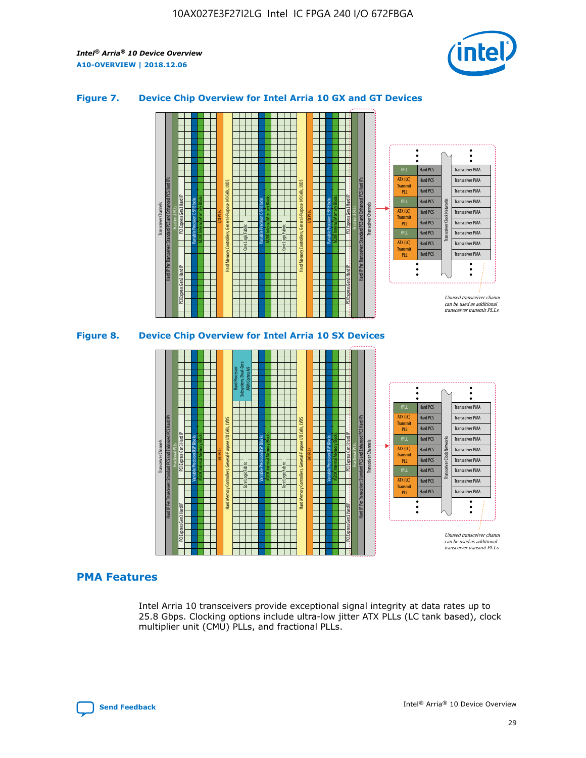

#### **Figure 7. Device Chip Overview for Intel Arria 10 GX and GT Devices**



#### M20K Internal Memory Blocks Core Logic Fabric Transceiver Channels Hard IP Per Transceiver: Standard PCS and Enhanced PCS Hard IPs PCI Express Gen3 Hard IP Fractional PLLs M20K Internal Memory Blocks PCI Express Gen3 Hard IP Variable Precision DSP Blocks I/O PLLs Hard Memory Controllers, General-Purpose I/O Cells, LVDS Hard Processor Subsystem, Dual-Core ARM Cortex A9 M20K Internal Memory Blocks Variable Precision DSP Blocks M20K Internal Memory Blocks Core Logic Fabric I/O PLLs Hard Memory Controllers, General-Purpose I/O Cells, LVDS M20K Internal Memory Blocks Variable Precision DSP Blocks M20K Internal Memory Blocks Transceiver Channels Hard IP Per Transceiver: Standard PCS and Enhanced PCS Hard IPs PCI Express Gen3 Hard IP Fractional PLLs PCI Express Gen3 Hard IP Hard PCS Hard PCS Hard PCS Hard PCS Hard PCS Hard PCS Transceiver PMA Transceiver PMA Transceiver PMA Transceiver PMA Unused transceiver chann can be used as additional transceiver transmit PLLs Transceiver PMA Transceiver PMA Transceiver Clock Networks PLL fPLL ATX (LC) Transmi PLL fPLL ATX (LC) **Transmit** PLL

#### **PMA Features**

Intel Arria 10 transceivers provide exceptional signal integrity at data rates up to 25.8 Gbps. Clocking options include ultra-low jitter ATX PLLs (LC tank based), clock multiplier unit (CMU) PLLs, and fractional PLLs.

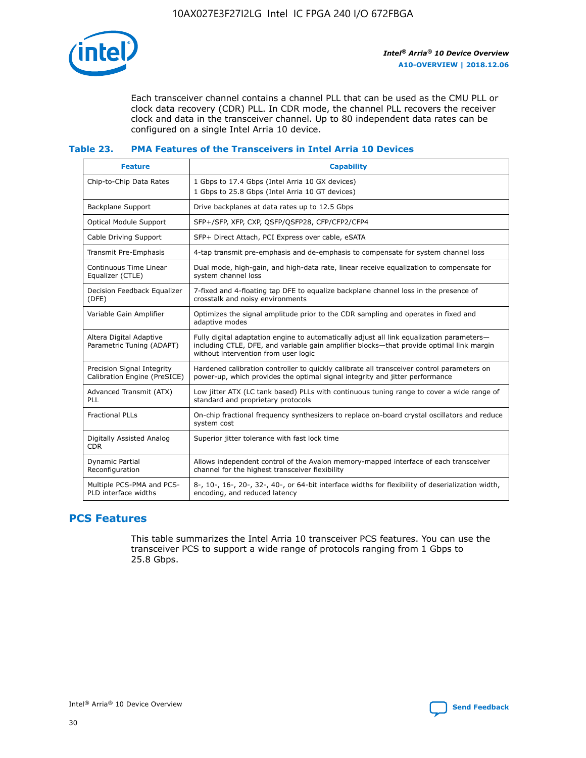

Each transceiver channel contains a channel PLL that can be used as the CMU PLL or clock data recovery (CDR) PLL. In CDR mode, the channel PLL recovers the receiver clock and data in the transceiver channel. Up to 80 independent data rates can be configured on a single Intel Arria 10 device.

#### **Table 23. PMA Features of the Transceivers in Intel Arria 10 Devices**

| <b>Feature</b>                                             | <b>Capability</b>                                                                                                                                                                                                             |
|------------------------------------------------------------|-------------------------------------------------------------------------------------------------------------------------------------------------------------------------------------------------------------------------------|
| Chip-to-Chip Data Rates                                    | 1 Gbps to 17.4 Gbps (Intel Arria 10 GX devices)<br>1 Gbps to 25.8 Gbps (Intel Arria 10 GT devices)                                                                                                                            |
| Backplane Support                                          | Drive backplanes at data rates up to 12.5 Gbps                                                                                                                                                                                |
| <b>Optical Module Support</b>                              | SFP+/SFP, XFP, CXP, QSFP/QSFP28, CFP/CFP2/CFP4                                                                                                                                                                                |
| Cable Driving Support                                      | SFP+ Direct Attach, PCI Express over cable, eSATA                                                                                                                                                                             |
| Transmit Pre-Emphasis                                      | 4-tap transmit pre-emphasis and de-emphasis to compensate for system channel loss                                                                                                                                             |
| Continuous Time Linear<br>Equalizer (CTLE)                 | Dual mode, high-gain, and high-data rate, linear receive equalization to compensate for<br>system channel loss                                                                                                                |
| Decision Feedback Equalizer<br>(DFE)                       | 7-fixed and 4-floating tap DFE to equalize backplane channel loss in the presence of<br>crosstalk and noisy environments                                                                                                      |
| Variable Gain Amplifier                                    | Optimizes the signal amplitude prior to the CDR sampling and operates in fixed and<br>adaptive modes                                                                                                                          |
| Altera Digital Adaptive<br>Parametric Tuning (ADAPT)       | Fully digital adaptation engine to automatically adjust all link equalization parameters-<br>including CTLE, DFE, and variable gain amplifier blocks—that provide optimal link margin<br>without intervention from user logic |
| Precision Signal Integrity<br>Calibration Engine (PreSICE) | Hardened calibration controller to quickly calibrate all transceiver control parameters on<br>power-up, which provides the optimal signal integrity and jitter performance                                                    |
| Advanced Transmit (ATX)<br>PLL                             | Low jitter ATX (LC tank based) PLLs with continuous tuning range to cover a wide range of<br>standard and proprietary protocols                                                                                               |
| <b>Fractional PLLs</b>                                     | On-chip fractional frequency synthesizers to replace on-board crystal oscillators and reduce<br>system cost                                                                                                                   |
| Digitally Assisted Analog<br><b>CDR</b>                    | Superior jitter tolerance with fast lock time                                                                                                                                                                                 |
| Dynamic Partial<br>Reconfiguration                         | Allows independent control of the Avalon memory-mapped interface of each transceiver<br>channel for the highest transceiver flexibility                                                                                       |
| Multiple PCS-PMA and PCS-<br>PLD interface widths          | 8-, 10-, 16-, 20-, 32-, 40-, or 64-bit interface widths for flexibility of deserialization width,<br>encoding, and reduced latency                                                                                            |

## **PCS Features**

This table summarizes the Intel Arria 10 transceiver PCS features. You can use the transceiver PCS to support a wide range of protocols ranging from 1 Gbps to 25.8 Gbps.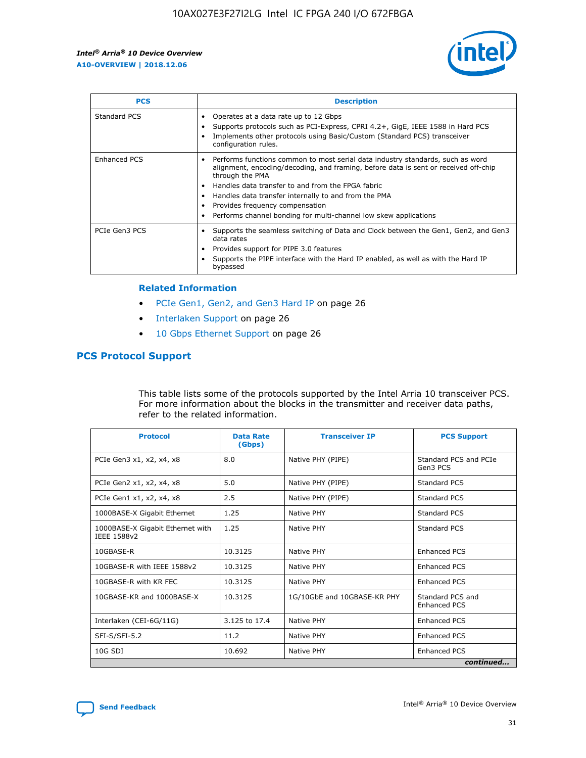

| <b>PCS</b>          | <b>Description</b>                                                                                                                                                                                                                                                                                                                                                                                             |
|---------------------|----------------------------------------------------------------------------------------------------------------------------------------------------------------------------------------------------------------------------------------------------------------------------------------------------------------------------------------------------------------------------------------------------------------|
| Standard PCS        | Operates at a data rate up to 12 Gbps<br>Supports protocols such as PCI-Express, CPRI 4.2+, GigE, IEEE 1588 in Hard PCS<br>Implements other protocols using Basic/Custom (Standard PCS) transceiver<br>configuration rules.                                                                                                                                                                                    |
| <b>Enhanced PCS</b> | Performs functions common to most serial data industry standards, such as word<br>alignment, encoding/decoding, and framing, before data is sent or received off-chip<br>through the PMA<br>• Handles data transfer to and from the FPGA fabric<br>Handles data transfer internally to and from the PMA<br>Provides frequency compensation<br>Performs channel bonding for multi-channel low skew applications |
| PCIe Gen3 PCS       | Supports the seamless switching of Data and Clock between the Gen1, Gen2, and Gen3<br>data rates<br>Provides support for PIPE 3.0 features<br>Supports the PIPE interface with the Hard IP enabled, as well as with the Hard IP<br>bypassed                                                                                                                                                                    |

#### **Related Information**

- PCIe Gen1, Gen2, and Gen3 Hard IP on page 26
- Interlaken Support on page 26
- 10 Gbps Ethernet Support on page 26

#### **PCS Protocol Support**

This table lists some of the protocols supported by the Intel Arria 10 transceiver PCS. For more information about the blocks in the transmitter and receiver data paths, refer to the related information.

| <b>Protocol</b>                                 | <b>Data Rate</b><br>(Gbps) | <b>Transceiver IP</b>       | <b>PCS Support</b>                      |
|-------------------------------------------------|----------------------------|-----------------------------|-----------------------------------------|
| PCIe Gen3 x1, x2, x4, x8                        | 8.0                        | Native PHY (PIPE)           | Standard PCS and PCIe<br>Gen3 PCS       |
| PCIe Gen2 x1, x2, x4, x8                        | 5.0                        | Native PHY (PIPE)           | <b>Standard PCS</b>                     |
| PCIe Gen1 x1, x2, x4, x8                        | 2.5                        | Native PHY (PIPE)           | Standard PCS                            |
| 1000BASE-X Gigabit Ethernet                     | 1.25                       | Native PHY                  | <b>Standard PCS</b>                     |
| 1000BASE-X Gigabit Ethernet with<br>IEEE 1588v2 | 1.25                       | Native PHY                  | Standard PCS                            |
| 10GBASE-R                                       | 10.3125                    | Native PHY                  | <b>Enhanced PCS</b>                     |
| 10GBASE-R with IEEE 1588v2                      | 10.3125                    | Native PHY                  | <b>Enhanced PCS</b>                     |
| 10GBASE-R with KR FEC                           | 10.3125                    | Native PHY                  | <b>Enhanced PCS</b>                     |
| 10GBASE-KR and 1000BASE-X                       | 10.3125                    | 1G/10GbE and 10GBASE-KR PHY | Standard PCS and<br><b>Enhanced PCS</b> |
| Interlaken (CEI-6G/11G)                         | 3.125 to 17.4              | Native PHY                  | <b>Enhanced PCS</b>                     |
| SFI-S/SFI-5.2                                   | 11.2                       | Native PHY                  | <b>Enhanced PCS</b>                     |
| $10G$ SDI                                       | 10.692                     | Native PHY                  | <b>Enhanced PCS</b>                     |
|                                                 |                            |                             | continued                               |

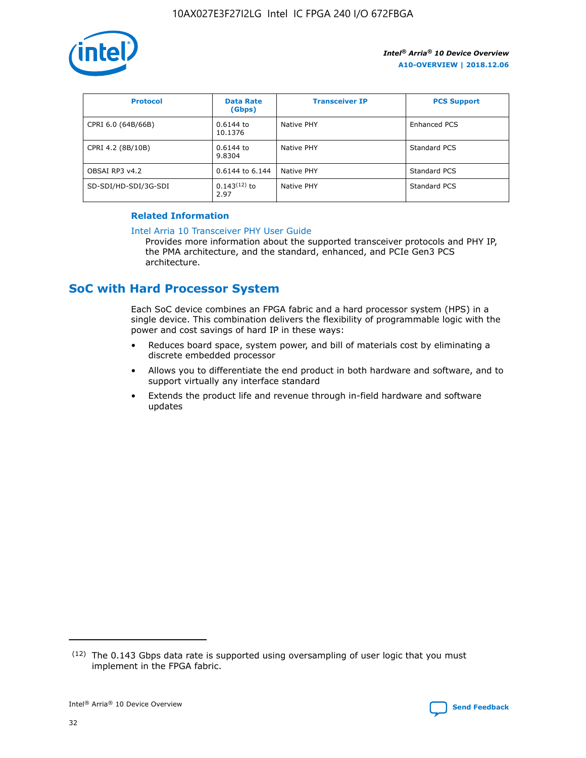

| <b>Protocol</b>      | <b>Data Rate</b><br>(Gbps) | <b>Transceiver IP</b> | <b>PCS Support</b> |
|----------------------|----------------------------|-----------------------|--------------------|
| CPRI 6.0 (64B/66B)   | 0.6144 to<br>10.1376       | Native PHY            | Enhanced PCS       |
| CPRI 4.2 (8B/10B)    | 0.6144 to<br>9.8304        | Native PHY            | Standard PCS       |
| OBSAI RP3 v4.2       | 0.6144 to 6.144            | Native PHY            | Standard PCS       |
| SD-SDI/HD-SDI/3G-SDI | $0.143(12)$ to<br>2.97     | Native PHY            | Standard PCS       |

#### **Related Information**

#### [Intel Arria 10 Transceiver PHY User Guide](https://www.intel.com/content/www/us/en/programmable/documentation/nik1398707230472.html#nik1398707091164)

Provides more information about the supported transceiver protocols and PHY IP, the PMA architecture, and the standard, enhanced, and PCIe Gen3 PCS architecture.

## **SoC with Hard Processor System**

Each SoC device combines an FPGA fabric and a hard processor system (HPS) in a single device. This combination delivers the flexibility of programmable logic with the power and cost savings of hard IP in these ways:

- Reduces board space, system power, and bill of materials cost by eliminating a discrete embedded processor
- Allows you to differentiate the end product in both hardware and software, and to support virtually any interface standard
- Extends the product life and revenue through in-field hardware and software updates

<sup>(12)</sup> The 0.143 Gbps data rate is supported using oversampling of user logic that you must implement in the FPGA fabric.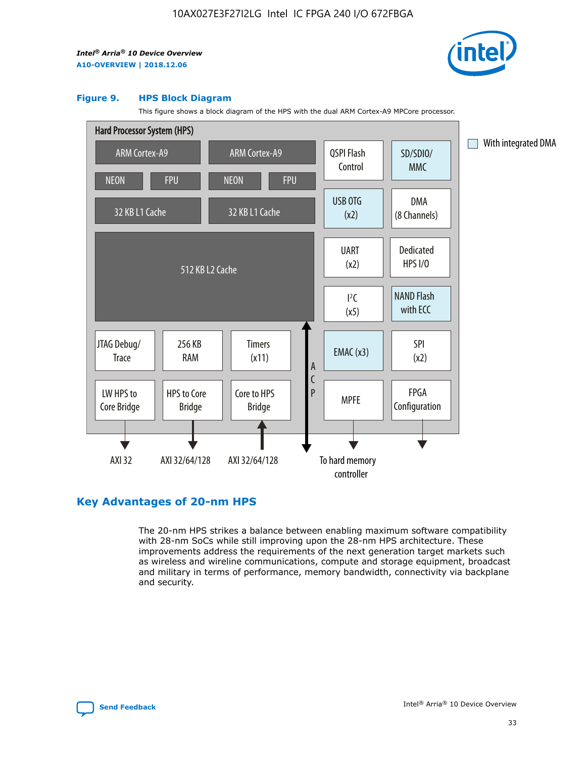

#### **Figure 9. HPS Block Diagram**

This figure shows a block diagram of the HPS with the dual ARM Cortex-A9 MPCore processor.



## **Key Advantages of 20-nm HPS**

The 20-nm HPS strikes a balance between enabling maximum software compatibility with 28-nm SoCs while still improving upon the 28-nm HPS architecture. These improvements address the requirements of the next generation target markets such as wireless and wireline communications, compute and storage equipment, broadcast and military in terms of performance, memory bandwidth, connectivity via backplane and security.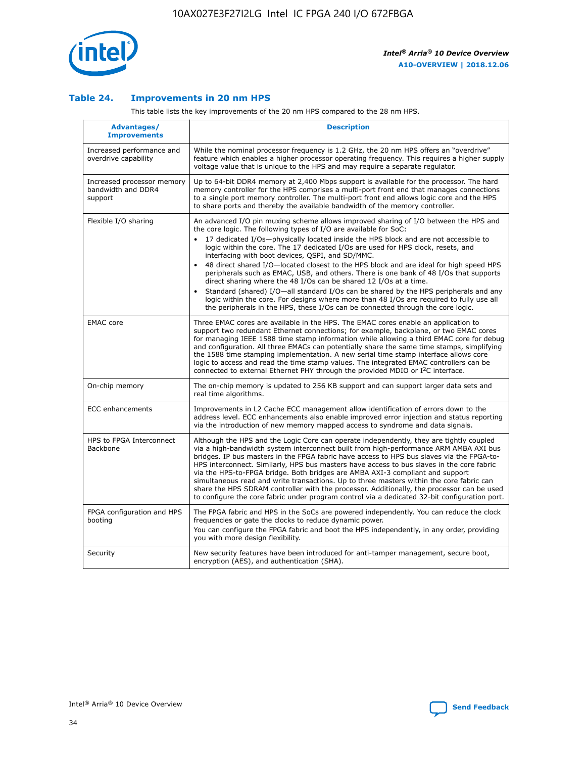

#### **Table 24. Improvements in 20 nm HPS**

This table lists the key improvements of the 20 nm HPS compared to the 28 nm HPS.

| Advantages/<br><b>Improvements</b>                          | <b>Description</b>                                                                                                                                                                                                                                                                                                                                                                                                                                                                                                                                                                                                                                                                                                                                                                                                                                                                                                      |
|-------------------------------------------------------------|-------------------------------------------------------------------------------------------------------------------------------------------------------------------------------------------------------------------------------------------------------------------------------------------------------------------------------------------------------------------------------------------------------------------------------------------------------------------------------------------------------------------------------------------------------------------------------------------------------------------------------------------------------------------------------------------------------------------------------------------------------------------------------------------------------------------------------------------------------------------------------------------------------------------------|
| Increased performance and<br>overdrive capability           | While the nominal processor frequency is 1.2 GHz, the 20 nm HPS offers an "overdrive"<br>feature which enables a higher processor operating frequency. This requires a higher supply<br>voltage value that is unique to the HPS and may require a separate regulator.                                                                                                                                                                                                                                                                                                                                                                                                                                                                                                                                                                                                                                                   |
| Increased processor memory<br>bandwidth and DDR4<br>support | Up to 64-bit DDR4 memory at 2,400 Mbps support is available for the processor. The hard<br>memory controller for the HPS comprises a multi-port front end that manages connections<br>to a single port memory controller. The multi-port front end allows logic core and the HPS<br>to share ports and thereby the available bandwidth of the memory controller.                                                                                                                                                                                                                                                                                                                                                                                                                                                                                                                                                        |
| Flexible I/O sharing                                        | An advanced I/O pin muxing scheme allows improved sharing of I/O between the HPS and<br>the core logic. The following types of I/O are available for SoC:<br>17 dedicated I/Os-physically located inside the HPS block and are not accessible to<br>logic within the core. The 17 dedicated I/Os are used for HPS clock, resets, and<br>interfacing with boot devices, QSPI, and SD/MMC.<br>48 direct shared I/O-located closest to the HPS block and are ideal for high speed HPS<br>peripherals such as EMAC, USB, and others. There is one bank of 48 I/Os that supports<br>direct sharing where the 48 I/Os can be shared 12 I/Os at a time.<br>Standard (shared) I/O-all standard I/Os can be shared by the HPS peripherals and any<br>logic within the core. For designs where more than 48 I/Os are reguired to fully use all<br>the peripherals in the HPS, these I/Os can be connected through the core logic. |
| <b>EMAC</b> core                                            | Three EMAC cores are available in the HPS. The EMAC cores enable an application to<br>support two redundant Ethernet connections; for example, backplane, or two EMAC cores<br>for managing IEEE 1588 time stamp information while allowing a third EMAC core for debug<br>and configuration. All three EMACs can potentially share the same time stamps, simplifying<br>the 1588 time stamping implementation. A new serial time stamp interface allows core<br>logic to access and read the time stamp values. The integrated EMAC controllers can be<br>connected to external Ethernet PHY through the provided MDIO or I <sup>2</sup> C interface.                                                                                                                                                                                                                                                                  |
| On-chip memory                                              | The on-chip memory is updated to 256 KB support and can support larger data sets and<br>real time algorithms.                                                                                                                                                                                                                                                                                                                                                                                                                                                                                                                                                                                                                                                                                                                                                                                                           |
| <b>ECC</b> enhancements                                     | Improvements in L2 Cache ECC management allow identification of errors down to the<br>address level. ECC enhancements also enable improved error injection and status reporting<br>via the introduction of new memory mapped access to syndrome and data signals.                                                                                                                                                                                                                                                                                                                                                                                                                                                                                                                                                                                                                                                       |
| HPS to FPGA Interconnect<br>Backbone                        | Although the HPS and the Logic Core can operate independently, they are tightly coupled<br>via a high-bandwidth system interconnect built from high-performance ARM AMBA AXI bus<br>bridges. IP bus masters in the FPGA fabric have access to HPS bus slaves via the FPGA-to-<br>HPS interconnect. Similarly, HPS bus masters have access to bus slaves in the core fabric<br>via the HPS-to-FPGA bridge. Both bridges are AMBA AXI-3 compliant and support<br>simultaneous read and write transactions. Up to three masters within the core fabric can<br>share the HPS SDRAM controller with the processor. Additionally, the processor can be used<br>to configure the core fabric under program control via a dedicated 32-bit configuration port.                                                                                                                                                                  |
| FPGA configuration and HPS<br>booting                       | The FPGA fabric and HPS in the SoCs are powered independently. You can reduce the clock<br>frequencies or gate the clocks to reduce dynamic power.<br>You can configure the FPGA fabric and boot the HPS independently, in any order, providing<br>you with more design flexibility.                                                                                                                                                                                                                                                                                                                                                                                                                                                                                                                                                                                                                                    |
| Security                                                    | New security features have been introduced for anti-tamper management, secure boot,<br>encryption (AES), and authentication (SHA).                                                                                                                                                                                                                                                                                                                                                                                                                                                                                                                                                                                                                                                                                                                                                                                      |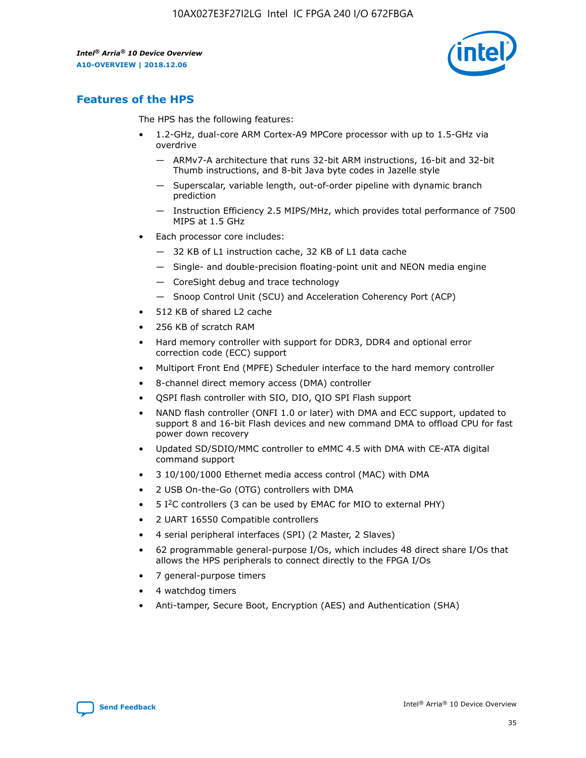

## **Features of the HPS**

The HPS has the following features:

- 1.2-GHz, dual-core ARM Cortex-A9 MPCore processor with up to 1.5-GHz via overdrive
	- ARMv7-A architecture that runs 32-bit ARM instructions, 16-bit and 32-bit Thumb instructions, and 8-bit Java byte codes in Jazelle style
	- Superscalar, variable length, out-of-order pipeline with dynamic branch prediction
	- Instruction Efficiency 2.5 MIPS/MHz, which provides total performance of 7500 MIPS at 1.5 GHz
- Each processor core includes:
	- 32 KB of L1 instruction cache, 32 KB of L1 data cache
	- Single- and double-precision floating-point unit and NEON media engine
	- CoreSight debug and trace technology
	- Snoop Control Unit (SCU) and Acceleration Coherency Port (ACP)
- 512 KB of shared L2 cache
- 256 KB of scratch RAM
- Hard memory controller with support for DDR3, DDR4 and optional error correction code (ECC) support
- Multiport Front End (MPFE) Scheduler interface to the hard memory controller
- 8-channel direct memory access (DMA) controller
- QSPI flash controller with SIO, DIO, QIO SPI Flash support
- NAND flash controller (ONFI 1.0 or later) with DMA and ECC support, updated to support 8 and 16-bit Flash devices and new command DMA to offload CPU for fast power down recovery
- Updated SD/SDIO/MMC controller to eMMC 4.5 with DMA with CE-ATA digital command support
- 3 10/100/1000 Ethernet media access control (MAC) with DMA
- 2 USB On-the-Go (OTG) controllers with DMA
- $\bullet$  5 I<sup>2</sup>C controllers (3 can be used by EMAC for MIO to external PHY)
- 2 UART 16550 Compatible controllers
- 4 serial peripheral interfaces (SPI) (2 Master, 2 Slaves)
- 62 programmable general-purpose I/Os, which includes 48 direct share I/Os that allows the HPS peripherals to connect directly to the FPGA I/Os
- 7 general-purpose timers
- 4 watchdog timers
- Anti-tamper, Secure Boot, Encryption (AES) and Authentication (SHA)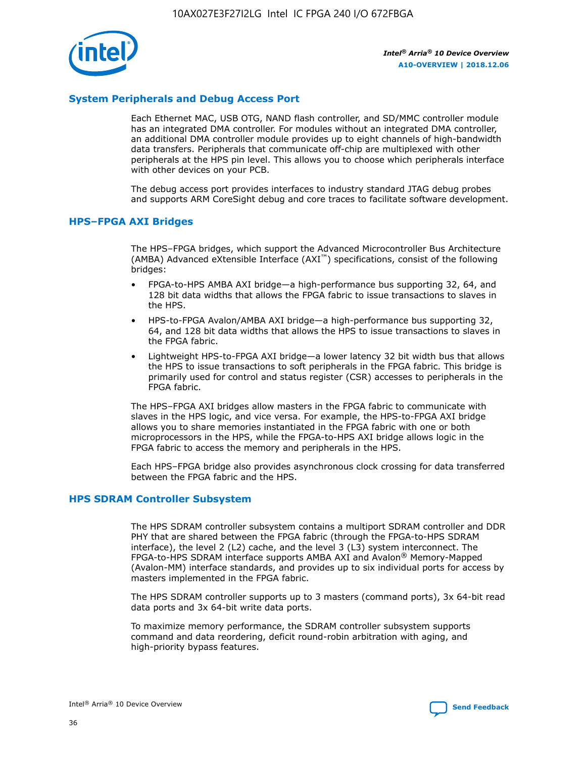

#### **System Peripherals and Debug Access Port**

Each Ethernet MAC, USB OTG, NAND flash controller, and SD/MMC controller module has an integrated DMA controller. For modules without an integrated DMA controller, an additional DMA controller module provides up to eight channels of high-bandwidth data transfers. Peripherals that communicate off-chip are multiplexed with other peripherals at the HPS pin level. This allows you to choose which peripherals interface with other devices on your PCB.

The debug access port provides interfaces to industry standard JTAG debug probes and supports ARM CoreSight debug and core traces to facilitate software development.

#### **HPS–FPGA AXI Bridges**

The HPS–FPGA bridges, which support the Advanced Microcontroller Bus Architecture (AMBA) Advanced eXtensible Interface (AXI™) specifications, consist of the following bridges:

- FPGA-to-HPS AMBA AXI bridge—a high-performance bus supporting 32, 64, and 128 bit data widths that allows the FPGA fabric to issue transactions to slaves in the HPS.
- HPS-to-FPGA Avalon/AMBA AXI bridge—a high-performance bus supporting 32, 64, and 128 bit data widths that allows the HPS to issue transactions to slaves in the FPGA fabric.
- Lightweight HPS-to-FPGA AXI bridge—a lower latency 32 bit width bus that allows the HPS to issue transactions to soft peripherals in the FPGA fabric. This bridge is primarily used for control and status register (CSR) accesses to peripherals in the FPGA fabric.

The HPS–FPGA AXI bridges allow masters in the FPGA fabric to communicate with slaves in the HPS logic, and vice versa. For example, the HPS-to-FPGA AXI bridge allows you to share memories instantiated in the FPGA fabric with one or both microprocessors in the HPS, while the FPGA-to-HPS AXI bridge allows logic in the FPGA fabric to access the memory and peripherals in the HPS.

Each HPS–FPGA bridge also provides asynchronous clock crossing for data transferred between the FPGA fabric and the HPS.

#### **HPS SDRAM Controller Subsystem**

The HPS SDRAM controller subsystem contains a multiport SDRAM controller and DDR PHY that are shared between the FPGA fabric (through the FPGA-to-HPS SDRAM interface), the level 2 (L2) cache, and the level 3 (L3) system interconnect. The FPGA-to-HPS SDRAM interface supports AMBA AXI and Avalon® Memory-Mapped (Avalon-MM) interface standards, and provides up to six individual ports for access by masters implemented in the FPGA fabric.

The HPS SDRAM controller supports up to 3 masters (command ports), 3x 64-bit read data ports and 3x 64-bit write data ports.

To maximize memory performance, the SDRAM controller subsystem supports command and data reordering, deficit round-robin arbitration with aging, and high-priority bypass features.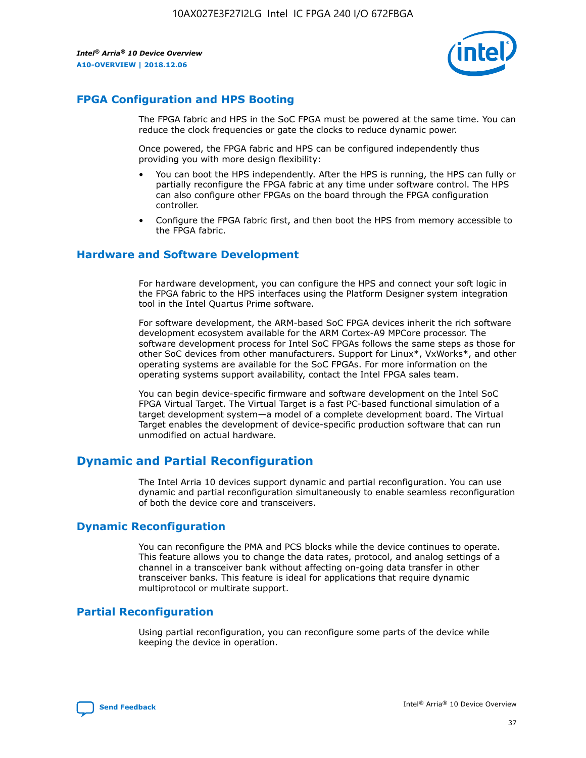

## **FPGA Configuration and HPS Booting**

The FPGA fabric and HPS in the SoC FPGA must be powered at the same time. You can reduce the clock frequencies or gate the clocks to reduce dynamic power.

Once powered, the FPGA fabric and HPS can be configured independently thus providing you with more design flexibility:

- You can boot the HPS independently. After the HPS is running, the HPS can fully or partially reconfigure the FPGA fabric at any time under software control. The HPS can also configure other FPGAs on the board through the FPGA configuration controller.
- Configure the FPGA fabric first, and then boot the HPS from memory accessible to the FPGA fabric.

#### **Hardware and Software Development**

For hardware development, you can configure the HPS and connect your soft logic in the FPGA fabric to the HPS interfaces using the Platform Designer system integration tool in the Intel Quartus Prime software.

For software development, the ARM-based SoC FPGA devices inherit the rich software development ecosystem available for the ARM Cortex-A9 MPCore processor. The software development process for Intel SoC FPGAs follows the same steps as those for other SoC devices from other manufacturers. Support for Linux\*, VxWorks\*, and other operating systems are available for the SoC FPGAs. For more information on the operating systems support availability, contact the Intel FPGA sales team.

You can begin device-specific firmware and software development on the Intel SoC FPGA Virtual Target. The Virtual Target is a fast PC-based functional simulation of a target development system—a model of a complete development board. The Virtual Target enables the development of device-specific production software that can run unmodified on actual hardware.

## **Dynamic and Partial Reconfiguration**

The Intel Arria 10 devices support dynamic and partial reconfiguration. You can use dynamic and partial reconfiguration simultaneously to enable seamless reconfiguration of both the device core and transceivers.

#### **Dynamic Reconfiguration**

You can reconfigure the PMA and PCS blocks while the device continues to operate. This feature allows you to change the data rates, protocol, and analog settings of a channel in a transceiver bank without affecting on-going data transfer in other transceiver banks. This feature is ideal for applications that require dynamic multiprotocol or multirate support.

## **Partial Reconfiguration**

Using partial reconfiguration, you can reconfigure some parts of the device while keeping the device in operation.

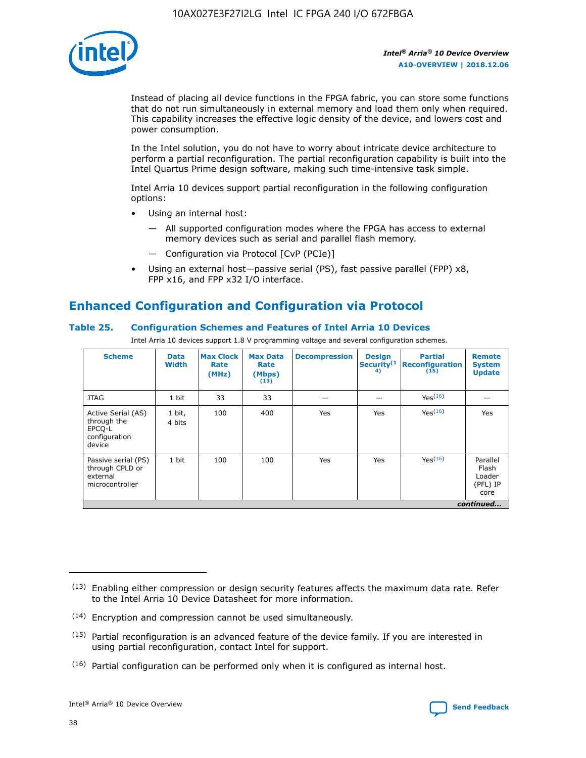

Instead of placing all device functions in the FPGA fabric, you can store some functions that do not run simultaneously in external memory and load them only when required. This capability increases the effective logic density of the device, and lowers cost and power consumption.

In the Intel solution, you do not have to worry about intricate device architecture to perform a partial reconfiguration. The partial reconfiguration capability is built into the Intel Quartus Prime design software, making such time-intensive task simple.

Intel Arria 10 devices support partial reconfiguration in the following configuration options:

- Using an internal host:
	- All supported configuration modes where the FPGA has access to external memory devices such as serial and parallel flash memory.
	- Configuration via Protocol [CvP (PCIe)]
- Using an external host—passive serial (PS), fast passive parallel (FPP) x8, FPP x16, and FPP x32 I/O interface.

## **Enhanced Configuration and Configuration via Protocol**

#### **Table 25. Configuration Schemes and Features of Intel Arria 10 Devices**

Intel Arria 10 devices support 1.8 V programming voltage and several configuration schemes.

| <b>Scheme</b>                                                          | <b>Data</b><br><b>Width</b> | <b>Max Clock</b><br>Rate<br>(MHz) | <b>Max Data</b><br>Rate<br>(Mbps)<br>(13) | <b>Decompression</b> | <b>Design</b><br>Security <sup>(1</sup><br>4) | <b>Partial</b><br>Reconfiguration<br>(15) | <b>Remote</b><br><b>System</b><br><b>Update</b> |
|------------------------------------------------------------------------|-----------------------------|-----------------------------------|-------------------------------------------|----------------------|-----------------------------------------------|-------------------------------------------|-------------------------------------------------|
| <b>JTAG</b>                                                            | 1 bit                       | 33                                | 33                                        |                      |                                               | Yes(16)                                   |                                                 |
| Active Serial (AS)<br>through the<br>EPCO-L<br>configuration<br>device | 1 bit,<br>4 bits            | 100                               | 400                                       | Yes                  | Yes                                           | Yes(16)                                   | Yes                                             |
| Passive serial (PS)<br>through CPLD or<br>external<br>microcontroller  | 1 bit                       | 100                               | 100                                       | Yes                  | Yes                                           | Yes <sup>(16)</sup>                       | Parallel<br>Flash<br>Loader<br>(PFL) IP<br>core |
|                                                                        |                             |                                   |                                           |                      |                                               |                                           | continued                                       |

<sup>(13)</sup> Enabling either compression or design security features affects the maximum data rate. Refer to the Intel Arria 10 Device Datasheet for more information.

<sup>(14)</sup> Encryption and compression cannot be used simultaneously.

 $(15)$  Partial reconfiguration is an advanced feature of the device family. If you are interested in using partial reconfiguration, contact Intel for support.

 $(16)$  Partial configuration can be performed only when it is configured as internal host.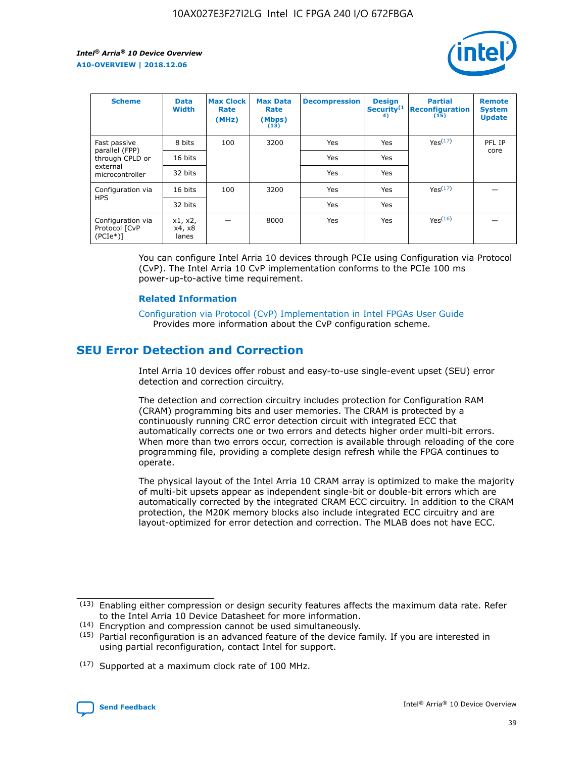

| <b>Scheme</b>                                   | <b>Data</b><br><b>Width</b> | <b>Max Clock</b><br>Rate<br>(MHz) | <b>Max Data</b><br>Rate<br>(Mbps)<br>(13) | <b>Decompression</b> | <b>Design</b><br>Security <sup>(1</sup><br>4) | <b>Partial</b><br><b>Reconfiguration</b><br>(15) | <b>Remote</b><br><b>System</b><br><b>Update</b> |
|-------------------------------------------------|-----------------------------|-----------------------------------|-------------------------------------------|----------------------|-----------------------------------------------|--------------------------------------------------|-------------------------------------------------|
| Fast passive                                    | 8 bits                      | 100                               | 3200                                      | Yes                  | Yes                                           | Yes(17)                                          | PFL IP                                          |
| parallel (FPP)<br>through CPLD or               | 16 bits                     |                                   |                                           | Yes                  | Yes                                           |                                                  | core                                            |
| external<br>microcontroller                     | 32 bits                     |                                   |                                           | Yes                  | Yes                                           |                                                  |                                                 |
| Configuration via                               | 16 bits                     | 100                               | 3200                                      | Yes                  | Yes                                           | Yes <sup>(17)</sup>                              |                                                 |
| <b>HPS</b>                                      | 32 bits                     |                                   |                                           | Yes                  | Yes                                           |                                                  |                                                 |
| Configuration via<br>Protocol [CvP<br>$(PCIe*)$ | x1, x2,<br>x4, x8<br>lanes  |                                   | 8000                                      | Yes                  | Yes                                           | Yes <sup>(16)</sup>                              |                                                 |

You can configure Intel Arria 10 devices through PCIe using Configuration via Protocol (CvP). The Intel Arria 10 CvP implementation conforms to the PCIe 100 ms power-up-to-active time requirement.

#### **Related Information**

[Configuration via Protocol \(CvP\) Implementation in Intel FPGAs User Guide](https://www.intel.com/content/www/us/en/programmable/documentation/dsu1441819344145.html#dsu1442269728522) Provides more information about the CvP configuration scheme.

## **SEU Error Detection and Correction**

Intel Arria 10 devices offer robust and easy-to-use single-event upset (SEU) error detection and correction circuitry.

The detection and correction circuitry includes protection for Configuration RAM (CRAM) programming bits and user memories. The CRAM is protected by a continuously running CRC error detection circuit with integrated ECC that automatically corrects one or two errors and detects higher order multi-bit errors. When more than two errors occur, correction is available through reloading of the core programming file, providing a complete design refresh while the FPGA continues to operate.

The physical layout of the Intel Arria 10 CRAM array is optimized to make the majority of multi-bit upsets appear as independent single-bit or double-bit errors which are automatically corrected by the integrated CRAM ECC circuitry. In addition to the CRAM protection, the M20K memory blocks also include integrated ECC circuitry and are layout-optimized for error detection and correction. The MLAB does not have ECC.

(14) Encryption and compression cannot be used simultaneously.

<sup>(17)</sup> Supported at a maximum clock rate of 100 MHz.



 $(13)$  Enabling either compression or design security features affects the maximum data rate. Refer to the Intel Arria 10 Device Datasheet for more information.

 $(15)$  Partial reconfiguration is an advanced feature of the device family. If you are interested in using partial reconfiguration, contact Intel for support.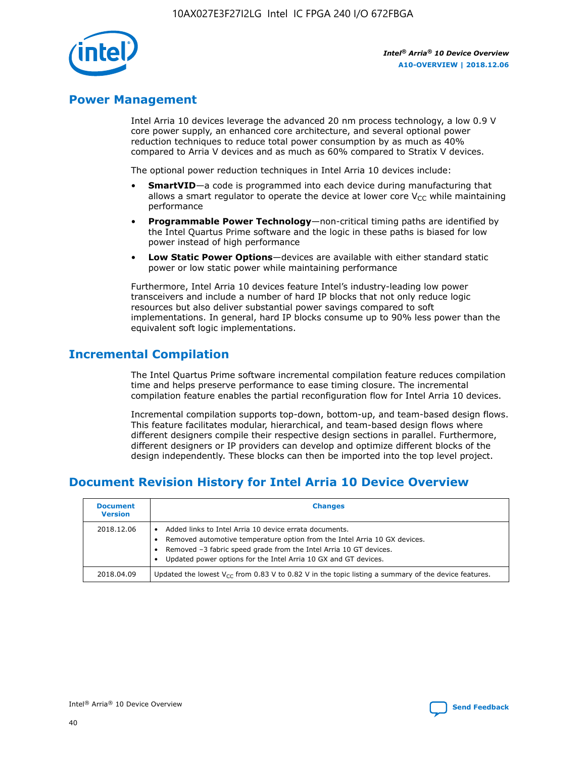

## **Power Management**

Intel Arria 10 devices leverage the advanced 20 nm process technology, a low 0.9 V core power supply, an enhanced core architecture, and several optional power reduction techniques to reduce total power consumption by as much as 40% compared to Arria V devices and as much as 60% compared to Stratix V devices.

The optional power reduction techniques in Intel Arria 10 devices include:

- **SmartVID**—a code is programmed into each device during manufacturing that allows a smart regulator to operate the device at lower core  $V_{CC}$  while maintaining performance
- **Programmable Power Technology**—non-critical timing paths are identified by the Intel Quartus Prime software and the logic in these paths is biased for low power instead of high performance
- **Low Static Power Options**—devices are available with either standard static power or low static power while maintaining performance

Furthermore, Intel Arria 10 devices feature Intel's industry-leading low power transceivers and include a number of hard IP blocks that not only reduce logic resources but also deliver substantial power savings compared to soft implementations. In general, hard IP blocks consume up to 90% less power than the equivalent soft logic implementations.

## **Incremental Compilation**

The Intel Quartus Prime software incremental compilation feature reduces compilation time and helps preserve performance to ease timing closure. The incremental compilation feature enables the partial reconfiguration flow for Intel Arria 10 devices.

Incremental compilation supports top-down, bottom-up, and team-based design flows. This feature facilitates modular, hierarchical, and team-based design flows where different designers compile their respective design sections in parallel. Furthermore, different designers or IP providers can develop and optimize different blocks of the design independently. These blocks can then be imported into the top level project.

## **Document Revision History for Intel Arria 10 Device Overview**

| <b>Document</b><br><b>Version</b> | <b>Changes</b>                                                                                                                                                                                                                                                              |
|-----------------------------------|-----------------------------------------------------------------------------------------------------------------------------------------------------------------------------------------------------------------------------------------------------------------------------|
| 2018.12.06                        | Added links to Intel Arria 10 device errata documents.<br>Removed automotive temperature option from the Intel Arria 10 GX devices.<br>Removed -3 fabric speed grade from the Intel Arria 10 GT devices.<br>Updated power options for the Intel Arria 10 GX and GT devices. |
| 2018.04.09                        | Updated the lowest $V_{CC}$ from 0.83 V to 0.82 V in the topic listing a summary of the device features.                                                                                                                                                                    |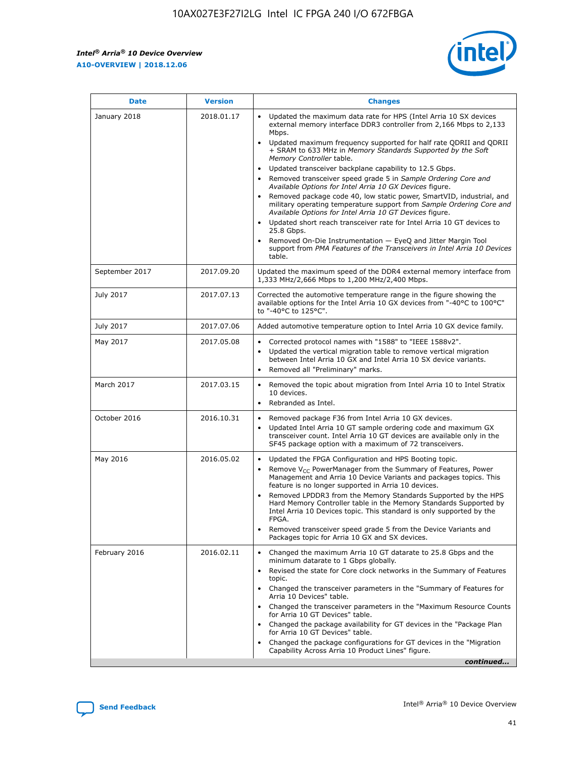F

 $\mathsf{r}$ 



| January 2018<br>Updated the maximum data rate for HPS (Intel Arria 10 SX devices<br>2018.01.17<br>external memory interface DDR3 controller from 2,166 Mbps to 2,133<br>Mbps.<br>$\bullet$<br>+ SRAM to 633 MHz in Memory Standards Supported by the Soft<br>Memory Controller table.<br>Updated transceiver backplane capability to 12.5 Gbps.<br>$\bullet$<br>Removed transceiver speed grade 5 in Sample Ordering Core and<br>Available Options for Intel Arria 10 GX Devices figure.<br>Available Options for Intel Arria 10 GT Devices figure.<br>Updated short reach transceiver rate for Intel Arria 10 GT devices to<br>$\bullet$<br>25.8 Gbps.<br>Removed On-Die Instrumentation - EyeQ and Jitter Margin Tool<br>table.<br>2017.09.20<br>September 2017<br>1,333 MHz/2,666 Mbps to 1,200 MHz/2,400 Mbps.<br>July 2017<br>2017.07.13<br>Corrected the automotive temperature range in the figure showing the<br>available options for the Intel Arria 10 GX devices from "-40°C to 100°C"<br>to "-40°C to 125°C".<br>July 2017<br>2017.07.06<br>Added automotive temperature option to Intel Arria 10 GX device family.<br>2017.05.08<br>Corrected protocol names with "1588" to "IEEE 1588v2".<br>May 2017<br>$\bullet$<br>Updated the vertical migration table to remove vertical migration<br>$\bullet$<br>between Intel Arria 10 GX and Intel Arria 10 SX device variants.<br>Removed all "Preliminary" marks.<br>2017.03.15<br>March 2017<br>Removed the topic about migration from Intel Arria 10 to Intel Stratix<br>10 devices.<br>Rebranded as Intel.<br>$\bullet$<br>October 2016<br>2016.10.31<br>Removed package F36 from Intel Arria 10 GX devices.<br>$\bullet$<br>Updated Intel Arria 10 GT sample ordering code and maximum GX<br>$\bullet$<br>transceiver count. Intel Arria 10 GT devices are available only in the<br>SF45 package option with a maximum of 72 transceivers.<br>May 2016<br>2016.05.02<br>Updated the FPGA Configuration and HPS Booting topic.<br>Remove $V_{CC}$ PowerManager from the Summary of Features, Power<br>Management and Arria 10 Device Variants and packages topics. This<br>feature is no longer supported in Arria 10 devices.<br>Removed LPDDR3 from the Memory Standards Supported by the HPS<br>Hard Memory Controller table in the Memory Standards Supported by<br>Intel Arria 10 Devices topic. This standard is only supported by the<br>FPGA.<br>Removed transceiver speed grade 5 from the Device Variants and<br>Packages topic for Arria 10 GX and SX devices.<br>Changed the maximum Arria 10 GT datarate to 25.8 Gbps and the<br>February 2016<br>2016.02.11<br>minimum datarate to 1 Gbps globally.<br>Revised the state for Core clock networks in the Summary of Features<br>$\bullet$<br>topic.<br>• Changed the transceiver parameters in the "Summary of Features for<br>Arria 10 Devices" table.<br>for Arria 10 GT Devices" table.<br>• Changed the package availability for GT devices in the "Package Plan<br>for Arria 10 GT Devices" table.<br>Changed the package configurations for GT devices in the "Migration"<br>Capability Across Arria 10 Product Lines" figure. | <b>Date</b> | <b>Version</b> | <b>Changes</b>                                                                                                                                                                                                                                                                               |
|----------------------------------------------------------------------------------------------------------------------------------------------------------------------------------------------------------------------------------------------------------------------------------------------------------------------------------------------------------------------------------------------------------------------------------------------------------------------------------------------------------------------------------------------------------------------------------------------------------------------------------------------------------------------------------------------------------------------------------------------------------------------------------------------------------------------------------------------------------------------------------------------------------------------------------------------------------------------------------------------------------------------------------------------------------------------------------------------------------------------------------------------------------------------------------------------------------------------------------------------------------------------------------------------------------------------------------------------------------------------------------------------------------------------------------------------------------------------------------------------------------------------------------------------------------------------------------------------------------------------------------------------------------------------------------------------------------------------------------------------------------------------------------------------------------------------------------------------------------------------------------------------------------------------------------------------------------------------------------------------------------------------------------------------------------------------------------------------------------------------------------------------------------------------------------------------------------------------------------------------------------------------------------------------------------------------------------------------------------------------------------------------------------------------------------------------------------------------------------------------------------------------------------------------------------------------------------------------------------------------------------------------------------------------------------------------------------------------------------------------------------------------------------------------------------------------------------------------------------------------------------------------------------------------------------------------------------------------------------------------------------------------------------------------------------------------------------------------------------------------------------------------------------------|-------------|----------------|----------------------------------------------------------------------------------------------------------------------------------------------------------------------------------------------------------------------------------------------------------------------------------------------|
|                                                                                                                                                                                                                                                                                                                                                                                                                                                                                                                                                                                                                                                                                                                                                                                                                                                                                                                                                                                                                                                                                                                                                                                                                                                                                                                                                                                                                                                                                                                                                                                                                                                                                                                                                                                                                                                                                                                                                                                                                                                                                                                                                                                                                                                                                                                                                                                                                                                                                                                                                                                                                                                                                                                                                                                                                                                                                                                                                                                                                                                                                                                                                                |             |                | Updated maximum frequency supported for half rate QDRII and QDRII<br>Removed package code 40, low static power, SmartVID, industrial, and<br>military operating temperature support from Sample Ordering Core and<br>support from PMA Features of the Transceivers in Intel Arria 10 Devices |
|                                                                                                                                                                                                                                                                                                                                                                                                                                                                                                                                                                                                                                                                                                                                                                                                                                                                                                                                                                                                                                                                                                                                                                                                                                                                                                                                                                                                                                                                                                                                                                                                                                                                                                                                                                                                                                                                                                                                                                                                                                                                                                                                                                                                                                                                                                                                                                                                                                                                                                                                                                                                                                                                                                                                                                                                                                                                                                                                                                                                                                                                                                                                                                |             |                | Updated the maximum speed of the DDR4 external memory interface from                                                                                                                                                                                                                         |
|                                                                                                                                                                                                                                                                                                                                                                                                                                                                                                                                                                                                                                                                                                                                                                                                                                                                                                                                                                                                                                                                                                                                                                                                                                                                                                                                                                                                                                                                                                                                                                                                                                                                                                                                                                                                                                                                                                                                                                                                                                                                                                                                                                                                                                                                                                                                                                                                                                                                                                                                                                                                                                                                                                                                                                                                                                                                                                                                                                                                                                                                                                                                                                |             |                |                                                                                                                                                                                                                                                                                              |
|                                                                                                                                                                                                                                                                                                                                                                                                                                                                                                                                                                                                                                                                                                                                                                                                                                                                                                                                                                                                                                                                                                                                                                                                                                                                                                                                                                                                                                                                                                                                                                                                                                                                                                                                                                                                                                                                                                                                                                                                                                                                                                                                                                                                                                                                                                                                                                                                                                                                                                                                                                                                                                                                                                                                                                                                                                                                                                                                                                                                                                                                                                                                                                |             |                |                                                                                                                                                                                                                                                                                              |
|                                                                                                                                                                                                                                                                                                                                                                                                                                                                                                                                                                                                                                                                                                                                                                                                                                                                                                                                                                                                                                                                                                                                                                                                                                                                                                                                                                                                                                                                                                                                                                                                                                                                                                                                                                                                                                                                                                                                                                                                                                                                                                                                                                                                                                                                                                                                                                                                                                                                                                                                                                                                                                                                                                                                                                                                                                                                                                                                                                                                                                                                                                                                                                |             |                |                                                                                                                                                                                                                                                                                              |
|                                                                                                                                                                                                                                                                                                                                                                                                                                                                                                                                                                                                                                                                                                                                                                                                                                                                                                                                                                                                                                                                                                                                                                                                                                                                                                                                                                                                                                                                                                                                                                                                                                                                                                                                                                                                                                                                                                                                                                                                                                                                                                                                                                                                                                                                                                                                                                                                                                                                                                                                                                                                                                                                                                                                                                                                                                                                                                                                                                                                                                                                                                                                                                |             |                |                                                                                                                                                                                                                                                                                              |
|                                                                                                                                                                                                                                                                                                                                                                                                                                                                                                                                                                                                                                                                                                                                                                                                                                                                                                                                                                                                                                                                                                                                                                                                                                                                                                                                                                                                                                                                                                                                                                                                                                                                                                                                                                                                                                                                                                                                                                                                                                                                                                                                                                                                                                                                                                                                                                                                                                                                                                                                                                                                                                                                                                                                                                                                                                                                                                                                                                                                                                                                                                                                                                |             |                |                                                                                                                                                                                                                                                                                              |
|                                                                                                                                                                                                                                                                                                                                                                                                                                                                                                                                                                                                                                                                                                                                                                                                                                                                                                                                                                                                                                                                                                                                                                                                                                                                                                                                                                                                                                                                                                                                                                                                                                                                                                                                                                                                                                                                                                                                                                                                                                                                                                                                                                                                                                                                                                                                                                                                                                                                                                                                                                                                                                                                                                                                                                                                                                                                                                                                                                                                                                                                                                                                                                |             |                |                                                                                                                                                                                                                                                                                              |
|                                                                                                                                                                                                                                                                                                                                                                                                                                                                                                                                                                                                                                                                                                                                                                                                                                                                                                                                                                                                                                                                                                                                                                                                                                                                                                                                                                                                                                                                                                                                                                                                                                                                                                                                                                                                                                                                                                                                                                                                                                                                                                                                                                                                                                                                                                                                                                                                                                                                                                                                                                                                                                                                                                                                                                                                                                                                                                                                                                                                                                                                                                                                                                |             |                | Changed the transceiver parameters in the "Maximum Resource Counts"<br>continued                                                                                                                                                                                                             |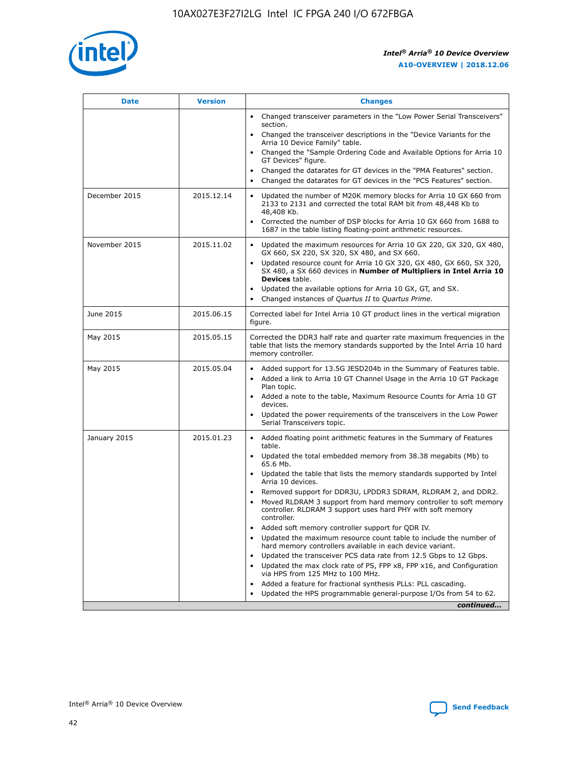

| <b>Date</b>   | <b>Version</b> | <b>Changes</b>                                                                                                                                                               |
|---------------|----------------|------------------------------------------------------------------------------------------------------------------------------------------------------------------------------|
|               |                | • Changed transceiver parameters in the "Low Power Serial Transceivers"<br>section.                                                                                          |
|               |                | Changed the transceiver descriptions in the "Device Variants for the<br>Arria 10 Device Family" table.                                                                       |
|               |                | Changed the "Sample Ordering Code and Available Options for Arria 10<br>GT Devices" figure.                                                                                  |
|               |                | Changed the datarates for GT devices in the "PMA Features" section.                                                                                                          |
|               |                | Changed the datarates for GT devices in the "PCS Features" section.                                                                                                          |
| December 2015 | 2015.12.14     | Updated the number of M20K memory blocks for Arria 10 GX 660 from<br>2133 to 2131 and corrected the total RAM bit from 48,448 Kb to<br>48,408 Kb.                            |
|               |                | Corrected the number of DSP blocks for Arria 10 GX 660 from 1688 to<br>$\bullet$<br>1687 in the table listing floating-point arithmetic resources.                           |
| November 2015 | 2015.11.02     | Updated the maximum resources for Arria 10 GX 220, GX 320, GX 480,<br>GX 660, SX 220, SX 320, SX 480, and SX 660.                                                            |
|               |                | • Updated resource count for Arria 10 GX 320, GX 480, GX 660, SX 320,<br>SX 480, a SX 660 devices in Number of Multipliers in Intel Arria 10<br><b>Devices</b> table.        |
|               |                | Updated the available options for Arria 10 GX, GT, and SX.                                                                                                                   |
|               |                | Changed instances of Quartus II to Quartus Prime.<br>$\bullet$                                                                                                               |
| June 2015     | 2015.06.15     | Corrected label for Intel Arria 10 GT product lines in the vertical migration<br>figure.                                                                                     |
| May 2015      | 2015.05.15     | Corrected the DDR3 half rate and quarter rate maximum frequencies in the<br>table that lists the memory standards supported by the Intel Arria 10 hard<br>memory controller. |
| May 2015      | 2015.05.04     | • Added support for 13.5G JESD204b in the Summary of Features table.<br>Added a link to Arria 10 GT Channel Usage in the Arria 10 GT Package<br>$\bullet$<br>Plan topic.     |
|               |                | • Added a note to the table, Maximum Resource Counts for Arria 10 GT<br>devices.                                                                                             |
|               |                | • Updated the power requirements of the transceivers in the Low Power<br>Serial Transceivers topic.                                                                          |
| January 2015  | 2015.01.23     | • Added floating point arithmetic features in the Summary of Features<br>table.                                                                                              |
|               |                | • Updated the total embedded memory from 38.38 megabits (Mb) to<br>65.6 Mb.                                                                                                  |
|               |                | • Updated the table that lists the memory standards supported by Intel<br>Arria 10 devices.                                                                                  |
|               |                | Removed support for DDR3U, LPDDR3 SDRAM, RLDRAM 2, and DDR2.                                                                                                                 |
|               |                | Moved RLDRAM 3 support from hard memory controller to soft memory<br>controller. RLDRAM 3 support uses hard PHY with soft memory<br>controller.                              |
|               |                | Added soft memory controller support for QDR IV.<br>$\bullet$                                                                                                                |
|               |                | Updated the maximum resource count table to include the number of<br>$\bullet$<br>hard memory controllers available in each device variant.                                  |
|               |                | Updated the transceiver PCS data rate from 12.5 Gbps to 12 Gbps.<br>$\bullet$                                                                                                |
|               |                | Updated the max clock rate of PS, FPP x8, FPP x16, and Configuration<br>via HPS from 125 MHz to 100 MHz.                                                                     |
|               |                | Added a feature for fractional synthesis PLLs: PLL cascading.<br>$\bullet$                                                                                                   |
|               |                | Updated the HPS programmable general-purpose I/Os from 54 to 62.                                                                                                             |
|               |                | continued                                                                                                                                                                    |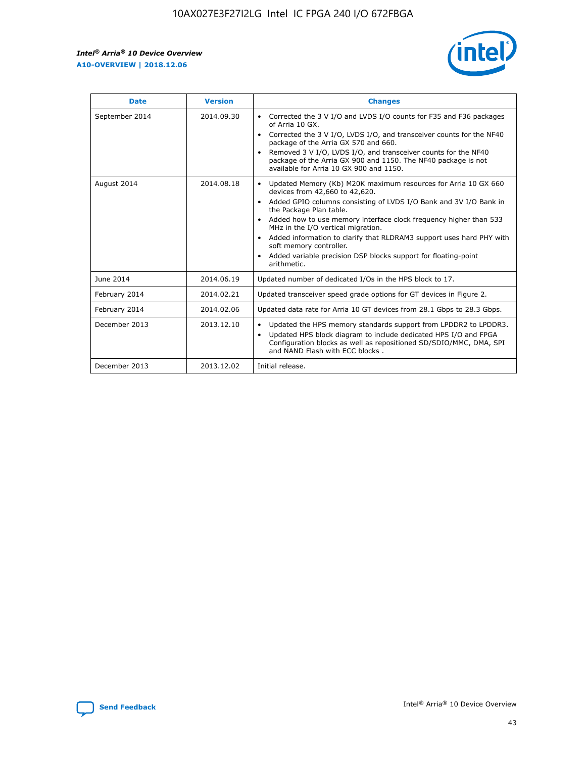

| <b>Date</b>    | <b>Version</b> | <b>Changes</b>                                                                                                                                                                                                                                                                                                                                                                                                                                                                                                                                                   |
|----------------|----------------|------------------------------------------------------------------------------------------------------------------------------------------------------------------------------------------------------------------------------------------------------------------------------------------------------------------------------------------------------------------------------------------------------------------------------------------------------------------------------------------------------------------------------------------------------------------|
| September 2014 | 2014.09.30     | Corrected the 3 V I/O and LVDS I/O counts for F35 and F36 packages<br>$\bullet$<br>of Arria 10 GX.<br>Corrected the 3 V I/O, LVDS I/O, and transceiver counts for the NF40<br>$\bullet$<br>package of the Arria GX 570 and 660.<br>Removed 3 V I/O, LVDS I/O, and transceiver counts for the NF40<br>$\bullet$<br>package of the Arria GX 900 and 1150. The NF40 package is not<br>available for Arria 10 GX 900 and 1150.                                                                                                                                       |
| August 2014    | 2014.08.18     | Updated Memory (Kb) M20K maximum resources for Arria 10 GX 660<br>$\bullet$<br>devices from 42,660 to 42,620.<br>Added GPIO columns consisting of LVDS I/O Bank and 3V I/O Bank in<br>$\bullet$<br>the Package Plan table.<br>Added how to use memory interface clock frequency higher than 533<br>$\bullet$<br>MHz in the I/O vertical migration.<br>Added information to clarify that RLDRAM3 support uses hard PHY with<br>$\bullet$<br>soft memory controller.<br>Added variable precision DSP blocks support for floating-point<br>$\bullet$<br>arithmetic. |
| June 2014      | 2014.06.19     | Updated number of dedicated I/Os in the HPS block to 17.                                                                                                                                                                                                                                                                                                                                                                                                                                                                                                         |
| February 2014  | 2014.02.21     | Updated transceiver speed grade options for GT devices in Figure 2.                                                                                                                                                                                                                                                                                                                                                                                                                                                                                              |
| February 2014  | 2014.02.06     | Updated data rate for Arria 10 GT devices from 28.1 Gbps to 28.3 Gbps.                                                                                                                                                                                                                                                                                                                                                                                                                                                                                           |
| December 2013  | 2013.12.10     | Updated the HPS memory standards support from LPDDR2 to LPDDR3.<br>٠<br>Updated HPS block diagram to include dedicated HPS I/O and FPGA<br>$\bullet$<br>Configuration blocks as well as repositioned SD/SDIO/MMC, DMA, SPI<br>and NAND Flash with ECC blocks.                                                                                                                                                                                                                                                                                                    |
| December 2013  | 2013.12.02     | Initial release.                                                                                                                                                                                                                                                                                                                                                                                                                                                                                                                                                 |